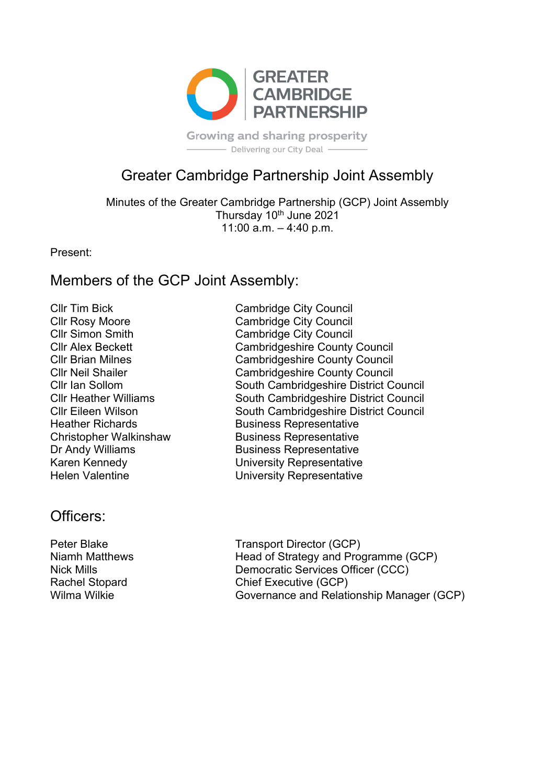

**Growing and sharing prosperity** - Delivering our City Deal -

# Greater Cambridge Partnership Joint Assembly

Minutes of the Greater Cambridge Partnership (GCP) Joint Assembly Thursday 10<sup>th</sup> June 2021 11:00 a.m. – 4:40 p.m.

Present:

### Members of the GCP Joint Assembly:

Cllr Tim Bick Cambridge City Council

Officers<sup>-</sup>

Cllr Rosy Moore<br>
Cambridge City Council<br>
Cllr Simon Smith Cambridge City Council Cambridge City Council Cllr Alex Beckett Cambridgeshire County Council Cllr Brian Milnes Cambridgeshire County Council **Cllr Neil Shailer Cambridgeshire County Council** Cllr Ian Sollom South Cambridgeshire District Council Cllr Heather Williams South Cambridgeshire District Council Cllr Eileen Wilson South Cambridgeshire District Council Heather Richards **Business Representative** Christopher Walkinshaw Business Representative Dr Andy Williams Business Representative Karen Kennedy University Representative Helen Valentine **National Engineer Contract University Representative** 

Peter Blake Transport Director (GCP) Niamh Matthews **Head of Strategy and Programme (GCP)** Nick Mills Democratic Services Officer (CCC) Rachel Stopard Chief Executive (GCP) Wilma Wilkie Governance and Relationship Manager (GCP)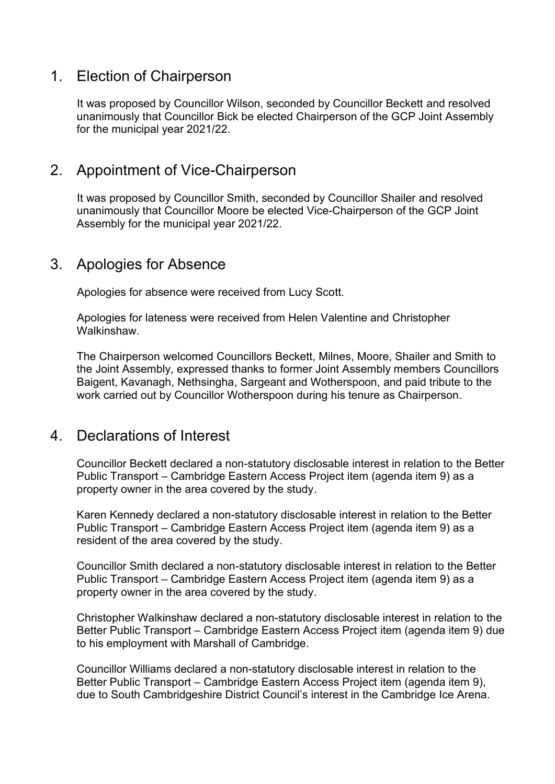### 1. Election of Chairperson

It was proposed by Councillor Wilson, seconded by Councillor Beckett and resolved unanimously that Councillor Bick be elected Chairperson of the GCP Joint Assembly for the municipal year 2021/22.

### 2. Appointment of Vice-Chairperson

It was proposed by Councillor Smith, seconded by Councillor Shailer and resolved unanimously that Councillor Moore be elected Vice-Chairperson of the GCP Joint Assembly for the municipal year 2021/22.

### 3. Apologies for Absence

Apologies for absence were received from Lucy Scott.

Apologies for lateness were received from Helen Valentine and Christopher **Walkinshaw** 

The Chairperson welcomed Councillors Beckett, Milnes, Moore, Shailer and Smith to the Joint Assembly, expressed thanks to former Joint Assembly members Councillors Baigent, Kavanagh, Nethsingha, Sargeant and Wotherspoon, and paid tribute to the work carried out by Councillor Wotherspoon during his tenure as Chairperson.

#### 4. Declarations of Interest

Councillor Beckett declared a non-statutory disclosable interest in relation to the Better Public Transport – Cambridge Eastern Access Project item (agenda item 9) as a property owner in the area covered by the study.

Karen Kennedy declared a non-statutory disclosable interest in relation to the Better Public Transport – Cambridge Eastern Access Project item (agenda item 9) as a resident of the area covered by the study.

Councillor Smith declared a non-statutory disclosable interest in relation to the Better Public Transport – Cambridge Eastern Access Project item (agenda item 9) as a property owner in the area covered by the study.

Christopher Walkinshaw declared a non-statutory disclosable interest in relation to the Better Public Transport – Cambridge Eastern Access Project item (agenda item 9) due to his employment with Marshall of Cambridge.

Councillor Williams declared a non-statutory disclosable interest in relation to the Better Public Transport – Cambridge Eastern Access Project item (agenda item 9), due to South Cambridgeshire District Council's interest in the Cambridge Ice Arena.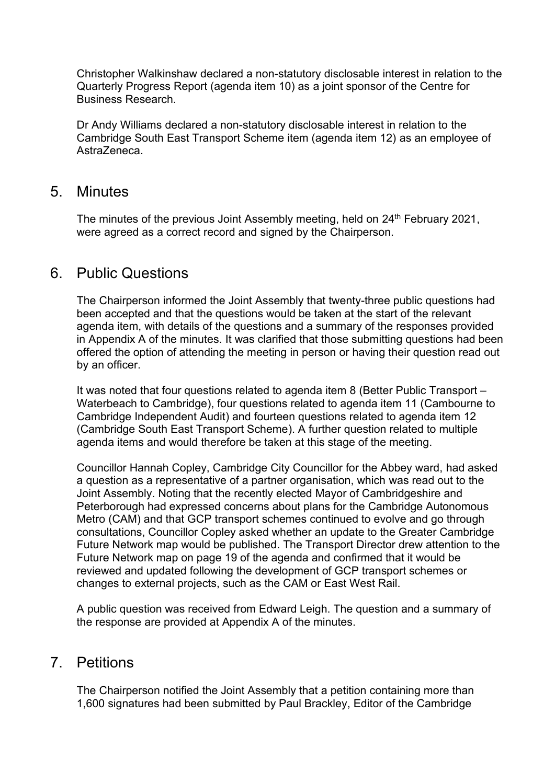Christopher Walkinshaw declared a non-statutory disclosable interest in relation to the Quarterly Progress Report (agenda item 10) as a joint sponsor of the Centre for Business Research.

Dr Andy Williams declared a non-statutory disclosable interest in relation to the Cambridge South East Transport Scheme item (agenda item 12) as an employee of AstraZeneca.

#### 5. Minutes

The minutes of the previous Joint Assembly meeting, held on 24<sup>th</sup> February 2021, were agreed as a correct record and signed by the Chairperson.

#### 6. Public Questions

The Chairperson informed the Joint Assembly that twenty-three public questions had been accepted and that the questions would be taken at the start of the relevant agenda item, with details of the questions and a summary of the responses provided in Appendix A of the minutes. It was clarified that those submitting questions had been offered the option of attending the meeting in person or having their question read out by an officer.

It was noted that four questions related to agenda item 8 (Better Public Transport – Waterbeach to Cambridge), four questions related to agenda item 11 (Cambourne to Cambridge Independent Audit) and fourteen questions related to agenda item 12 (Cambridge South East Transport Scheme). A further question related to multiple agenda items and would therefore be taken at this stage of the meeting.

Councillor Hannah Copley, Cambridge City Councillor for the Abbey ward, had asked a question as a representative of a partner organisation, which was read out to the Joint Assembly. Noting that the recently elected Mayor of Cambridgeshire and Peterborough had expressed concerns about plans for the Cambridge Autonomous Metro (CAM) and that GCP transport schemes continued to evolve and go through consultations, Councillor Copley asked whether an update to the Greater Cambridge Future Network map would be published. The Transport Director drew attention to the Future Network map on page 19 of the agenda and confirmed that it would be reviewed and updated following the development of GCP transport schemes or changes to external projects, such as the CAM or East West Rail.

A public question was received from Edward Leigh. The question and a summary of the response are provided at Appendix A of the minutes.

#### 7. Petitions

The Chairperson notified the Joint Assembly that a petition containing more than 1,600 signatures had been submitted by Paul Brackley, Editor of the Cambridge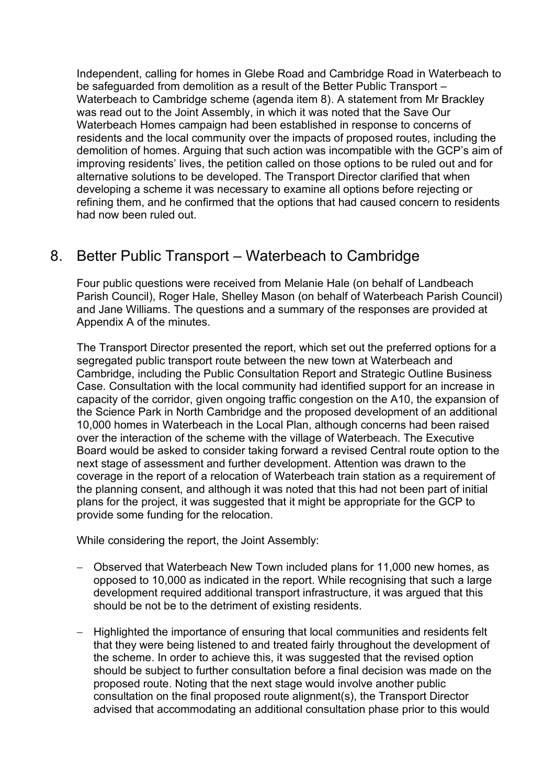Independent, calling for homes in Glebe Road and Cambridge Road in Waterbeach to be safeguarded from demolition as a result of the Better Public Transport – Waterbeach to Cambridge scheme (agenda item 8). A statement from Mr Brackley was read out to the Joint Assembly, in which it was noted that the Save Our Waterbeach Homes campaign had been established in response to concerns of residents and the local community over the impacts of proposed routes, including the demolition of homes. Arguing that such action was incompatible with the GCP's aim of improving residents' lives, the petition called on those options to be ruled out and for alternative solutions to be developed. The Transport Director clarified that when developing a scheme it was necessary to examine all options before rejecting or refining them, and he confirmed that the options that had caused concern to residents had now been ruled out.

# 8. Better Public Transport – Waterbeach to Cambridge

Four public questions were received from Melanie Hale (on behalf of Landbeach Parish Council), Roger Hale, Shelley Mason (on behalf of Waterbeach Parish Council) and Jane Williams. The questions and a summary of the responses are provided at Appendix A of the minutes.

The Transport Director presented the report, which set out the preferred options for a segregated public transport route between the new town at Waterbeach and Cambridge, including the Public Consultation Report and Strategic Outline Business Case. Consultation with the local community had identified support for an increase in capacity of the corridor, given ongoing traffic congestion on the A10, the expansion of the Science Park in North Cambridge and the proposed development of an additional 10,000 homes in Waterbeach in the Local Plan, although concerns had been raised over the interaction of the scheme with the village of Waterbeach. The Executive Board would be asked to consider taking forward a revised Central route option to the next stage of assessment and further development. Attention was drawn to the coverage in the report of a relocation of Waterbeach train station as a requirement of the planning consent, and although it was noted that this had not been part of initial plans for the project, it was suggested that it might be appropriate for the GCP to provide some funding for the relocation.

While considering the report, the Joint Assembly:

- − Observed that Waterbeach New Town included plans for 11,000 new homes, as opposed to 10,000 as indicated in the report. While recognising that such a large development required additional transport infrastructure, it was argued that this should be not be to the detriment of existing residents.
- − Highlighted the importance of ensuring that local communities and residents felt that they were being listened to and treated fairly throughout the development of the scheme. In order to achieve this, it was suggested that the revised option should be subject to further consultation before a final decision was made on the proposed route. Noting that the next stage would involve another public consultation on the final proposed route alignment(s), the Transport Director advised that accommodating an additional consultation phase prior to this would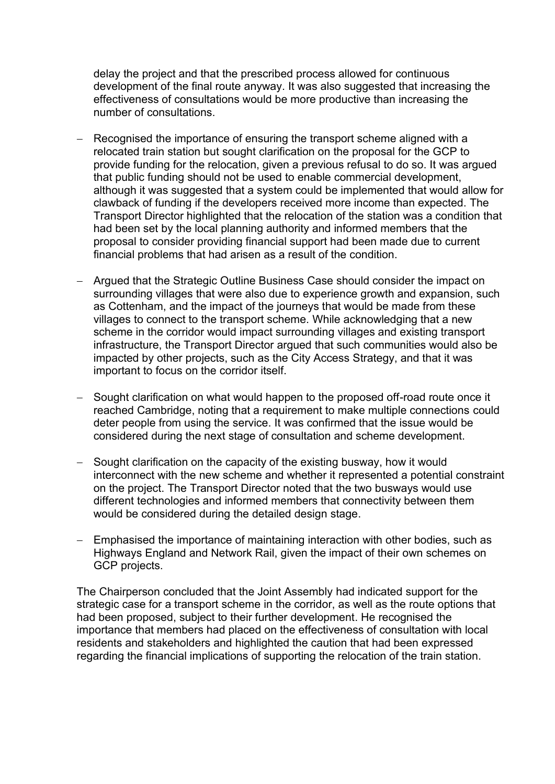delay the project and that the prescribed process allowed for continuous development of the final route anyway. It was also suggested that increasing the effectiveness of consultations would be more productive than increasing the number of consultations.

- Recognised the importance of ensuring the transport scheme aligned with a relocated train station but sought clarification on the proposal for the GCP to provide funding for the relocation, given a previous refusal to do so. It was argued that public funding should not be used to enable commercial development, although it was suggested that a system could be implemented that would allow for clawback of funding if the developers received more income than expected. The Transport Director highlighted that the relocation of the station was a condition that had been set by the local planning authority and informed members that the proposal to consider providing financial support had been made due to current financial problems that had arisen as a result of the condition.
- − Argued that the Strategic Outline Business Case should consider the impact on surrounding villages that were also due to experience growth and expansion, such as Cottenham, and the impact of the journeys that would be made from these villages to connect to the transport scheme. While acknowledging that a new scheme in the corridor would impact surrounding villages and existing transport infrastructure, the Transport Director argued that such communities would also be impacted by other projects, such as the City Access Strategy, and that it was important to focus on the corridor itself.
- Sought clarification on what would happen to the proposed off-road route once it reached Cambridge, noting that a requirement to make multiple connections could deter people from using the service. It was confirmed that the issue would be considered during the next stage of consultation and scheme development.
- Sought clarification on the capacity of the existing busway, how it would interconnect with the new scheme and whether it represented a potential constraint on the project. The Transport Director noted that the two busways would use different technologies and informed members that connectivity between them would be considered during the detailed design stage.
- − Emphasised the importance of maintaining interaction with other bodies, such as Highways England and Network Rail, given the impact of their own schemes on GCP projects.

The Chairperson concluded that the Joint Assembly had indicated support for the strategic case for a transport scheme in the corridor, as well as the route options that had been proposed, subject to their further development. He recognised the importance that members had placed on the effectiveness of consultation with local residents and stakeholders and highlighted the caution that had been expressed regarding the financial implications of supporting the relocation of the train station.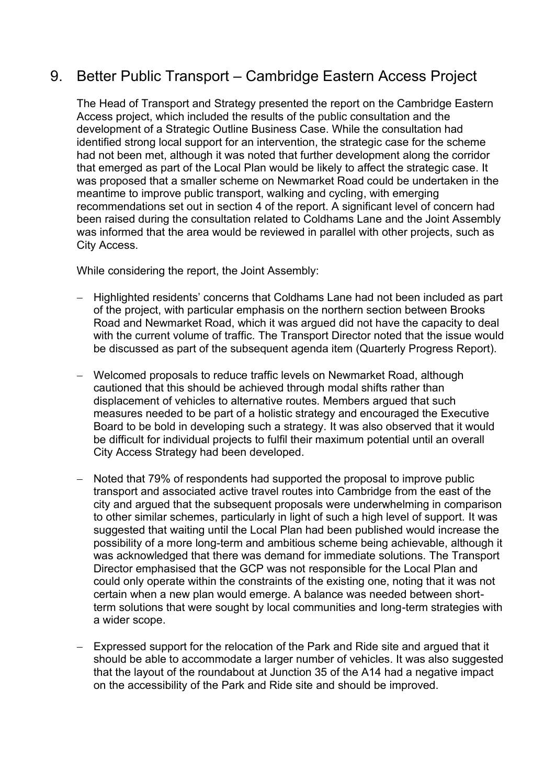## 9. Better Public Transport – Cambridge Eastern Access Project

The Head of Transport and Strategy presented the report on the Cambridge Eastern Access project, which included the results of the public consultation and the development of a Strategic Outline Business Case. While the consultation had identified strong local support for an intervention, the strategic case for the scheme had not been met, although it was noted that further development along the corridor that emerged as part of the Local Plan would be likely to affect the strategic case. It was proposed that a smaller scheme on Newmarket Road could be undertaken in the meantime to improve public transport, walking and cycling, with emerging recommendations set out in section 4 of the report. A significant level of concern had been raised during the consultation related to Coldhams Lane and the Joint Assembly was informed that the area would be reviewed in parallel with other projects, such as City Access.

While considering the report, the Joint Assembly:

- − Highlighted residents' concerns that Coldhams Lane had not been included as part of the project, with particular emphasis on the northern section between Brooks Road and Newmarket Road, which it was argued did not have the capacity to deal with the current volume of traffic. The Transport Director noted that the issue would be discussed as part of the subsequent agenda item (Quarterly Progress Report).
- − Welcomed proposals to reduce traffic levels on Newmarket Road, although cautioned that this should be achieved through modal shifts rather than displacement of vehicles to alternative routes. Members argued that such measures needed to be part of a holistic strategy and encouraged the Executive Board to be bold in developing such a strategy. It was also observed that it would be difficult for individual projects to fulfil their maximum potential until an overall City Access Strategy had been developed.
- Noted that 79% of respondents had supported the proposal to improve public transport and associated active travel routes into Cambridge from the east of the city and argued that the subsequent proposals were underwhelming in comparison to other similar schemes, particularly in light of such a high level of support. It was suggested that waiting until the Local Plan had been published would increase the possibility of a more long-term and ambitious scheme being achievable, although it was acknowledged that there was demand for immediate solutions. The Transport Director emphasised that the GCP was not responsible for the Local Plan and could only operate within the constraints of the existing one, noting that it was not certain when a new plan would emerge. A balance was needed between shortterm solutions that were sought by local communities and long-term strategies with a wider scope.
- − Expressed support for the relocation of the Park and Ride site and argued that it should be able to accommodate a larger number of vehicles. It was also suggested that the layout of the roundabout at Junction 35 of the A14 had a negative impact on the accessibility of the Park and Ride site and should be improved.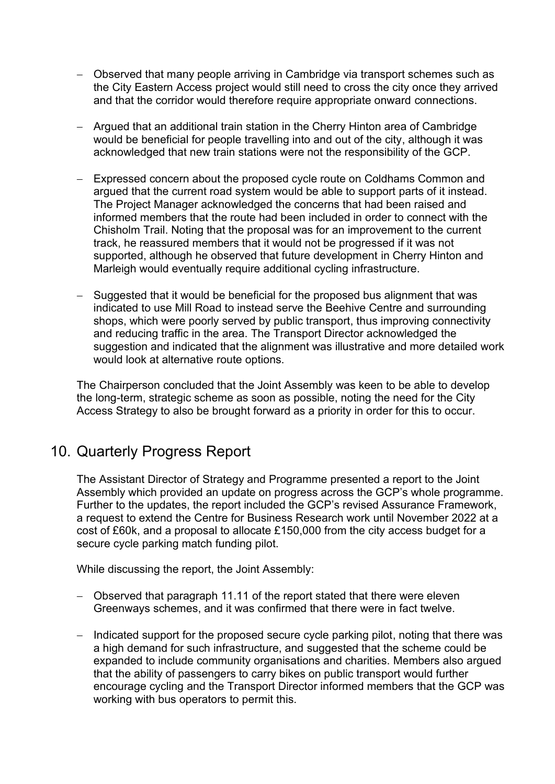- − Observed that many people arriving in Cambridge via transport schemes such as the City Eastern Access project would still need to cross the city once they arrived and that the corridor would therefore require appropriate onward connections.
- − Argued that an additional train station in the Cherry Hinton area of Cambridge would be beneficial for people travelling into and out of the city, although it was acknowledged that new train stations were not the responsibility of the GCP.
- − Expressed concern about the proposed cycle route on Coldhams Common and argued that the current road system would be able to support parts of it instead. The Project Manager acknowledged the concerns that had been raised and informed members that the route had been included in order to connect with the Chisholm Trail. Noting that the proposal was for an improvement to the current track, he reassured members that it would not be progressed if it was not supported, although he observed that future development in Cherry Hinton and Marleigh would eventually require additional cycling infrastructure.
- − Suggested that it would be beneficial for the proposed bus alignment that was indicated to use Mill Road to instead serve the Beehive Centre and surrounding shops, which were poorly served by public transport, thus improving connectivity and reducing traffic in the area. The Transport Director acknowledged the suggestion and indicated that the alignment was illustrative and more detailed work would look at alternative route options.

The Chairperson concluded that the Joint Assembly was keen to be able to develop the long-term, strategic scheme as soon as possible, noting the need for the City Access Strategy to also be brought forward as a priority in order for this to occur.

### 10. Quarterly Progress Report

The Assistant Director of Strategy and Programme presented a report to the Joint Assembly which provided an update on progress across the GCP's whole programme. Further to the updates, the report included the GCP's revised Assurance Framework, a request to extend the Centre for Business Research work until November 2022 at a cost of £60k, and a proposal to allocate £150,000 from the city access budget for a secure cycle parking match funding pilot.

While discussing the report, the Joint Assembly:

- − Observed that paragraph 11.11 of the report stated that there were eleven Greenways schemes, and it was confirmed that there were in fact twelve.
- − Indicated support for the proposed secure cycle parking pilot, noting that there was a high demand for such infrastructure, and suggested that the scheme could be expanded to include community organisations and charities. Members also argued that the ability of passengers to carry bikes on public transport would further encourage cycling and the Transport Director informed members that the GCP was working with bus operators to permit this.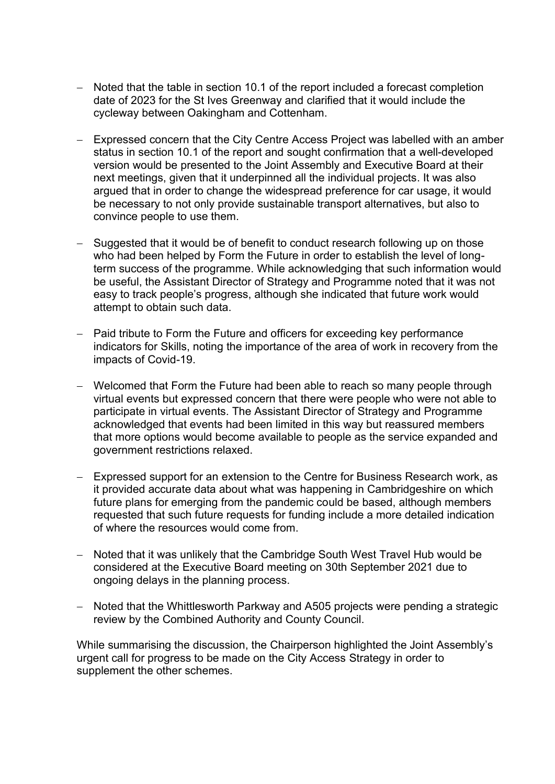- − Noted that the table in section 10.1 of the report included a forecast completion date of 2023 for the St Ives Greenway and clarified that it would include the cycleway between Oakingham and Cottenham.
- − Expressed concern that the City Centre Access Project was labelled with an amber status in section 10.1 of the report and sought confirmation that a well-developed version would be presented to the Joint Assembly and Executive Board at their next meetings, given that it underpinned all the individual projects. It was also argued that in order to change the widespread preference for car usage, it would be necessary to not only provide sustainable transport alternatives, but also to convince people to use them.
- − Suggested that it would be of benefit to conduct research following up on those who had been helped by Form the Future in order to establish the level of longterm success of the programme. While acknowledging that such information would be useful, the Assistant Director of Strategy and Programme noted that it was not easy to track people's progress, although she indicated that future work would attempt to obtain such data.
- − Paid tribute to Form the Future and officers for exceeding key performance indicators for Skills, noting the importance of the area of work in recovery from the impacts of Covid-19.
- − Welcomed that Form the Future had been able to reach so many people through virtual events but expressed concern that there were people who were not able to participate in virtual events. The Assistant Director of Strategy and Programme acknowledged that events had been limited in this way but reassured members that more options would become available to people as the service expanded and government restrictions relaxed.
- − Expressed support for an extension to the Centre for Business Research work, as it provided accurate data about what was happening in Cambridgeshire on which future plans for emerging from the pandemic could be based, although members requested that such future requests for funding include a more detailed indication of where the resources would come from.
- − Noted that it was unlikely that the Cambridge South West Travel Hub would be considered at the Executive Board meeting on 30th September 2021 due to ongoing delays in the planning process.
- − Noted that the Whittlesworth Parkway and A505 projects were pending a strategic review by the Combined Authority and County Council.

While summarising the discussion, the Chairperson highlighted the Joint Assembly's urgent call for progress to be made on the City Access Strategy in order to supplement the other schemes.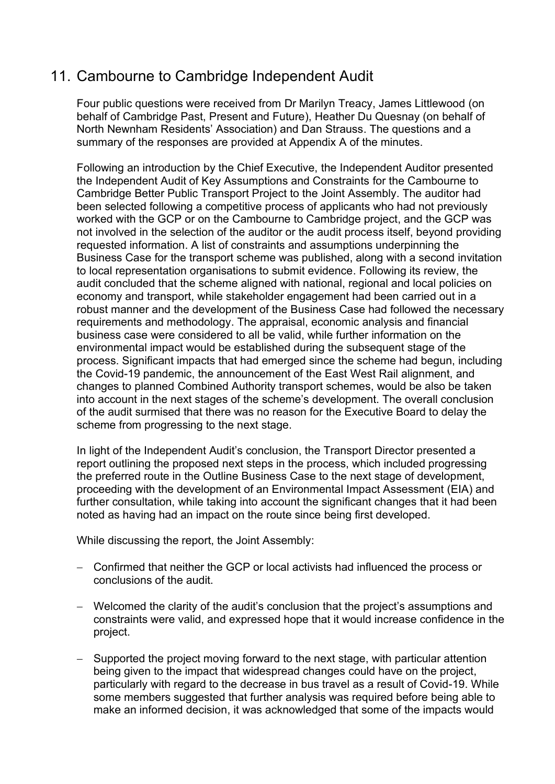## 11. Cambourne to Cambridge Independent Audit

Four public questions were received from Dr Marilyn Treacy, James Littlewood (on behalf of Cambridge Past, Present and Future), Heather Du Quesnay (on behalf of North Newnham Residents' Association) and Dan Strauss. The questions and a summary of the responses are provided at Appendix A of the minutes.

Following an introduction by the Chief Executive, the Independent Auditor presented the Independent Audit of Key Assumptions and Constraints for the Cambourne to Cambridge Better Public Transport Project to the Joint Assembly. The auditor had been selected following a competitive process of applicants who had not previously worked with the GCP or on the Cambourne to Cambridge project, and the GCP was not involved in the selection of the auditor or the audit process itself, beyond providing requested information. A list of constraints and assumptions underpinning the Business Case for the transport scheme was published, along with a second invitation to local representation organisations to submit evidence. Following its review, the audit concluded that the scheme aligned with national, regional and local policies on economy and transport, while stakeholder engagement had been carried out in a robust manner and the development of the Business Case had followed the necessary requirements and methodology. The appraisal, economic analysis and financial business case were considered to all be valid, while further information on the environmental impact would be established during the subsequent stage of the process. Significant impacts that had emerged since the scheme had begun, including the Covid-19 pandemic, the announcement of the East West Rail alignment, and changes to planned Combined Authority transport schemes, would be also be taken into account in the next stages of the scheme's development. The overall conclusion of the audit surmised that there was no reason for the Executive Board to delay the scheme from progressing to the next stage.

In light of the Independent Audit's conclusion, the Transport Director presented a report outlining the proposed next steps in the process, which included progressing the preferred route in the Outline Business Case to the next stage of development, proceeding with the development of an Environmental Impact Assessment (EIA) and further consultation, while taking into account the significant changes that it had been noted as having had an impact on the route since being first developed.

While discussing the report, the Joint Assembly:

- − Confirmed that neither the GCP or local activists had influenced the process or conclusions of the audit.
- − Welcomed the clarity of the audit's conclusion that the project's assumptions and constraints were valid, and expressed hope that it would increase confidence in the project.
- − Supported the project moving forward to the next stage, with particular attention being given to the impact that widespread changes could have on the project, particularly with regard to the decrease in bus travel as a result of Covid-19. While some members suggested that further analysis was required before being able to make an informed decision, it was acknowledged that some of the impacts would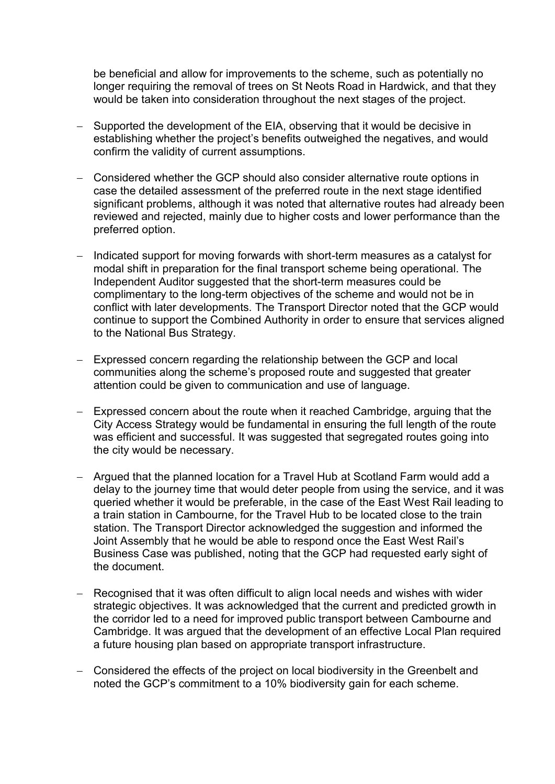be beneficial and allow for improvements to the scheme, such as potentially no longer requiring the removal of trees on St Neots Road in Hardwick, and that they would be taken into consideration throughout the next stages of the project.

- − Supported the development of the EIA, observing that it would be decisive in establishing whether the project's benefits outweighed the negatives, and would confirm the validity of current assumptions.
- − Considered whether the GCP should also consider alternative route options in case the detailed assessment of the preferred route in the next stage identified significant problems, although it was noted that alternative routes had already been reviewed and rejected, mainly due to higher costs and lower performance than the preferred option.
- Indicated support for moving forwards with short-term measures as a catalyst for modal shift in preparation for the final transport scheme being operational. The Independent Auditor suggested that the short-term measures could be complimentary to the long-term objectives of the scheme and would not be in conflict with later developments. The Transport Director noted that the GCP would continue to support the Combined Authority in order to ensure that services aligned to the National Bus Strategy.
- − Expressed concern regarding the relationship between the GCP and local communities along the scheme's proposed route and suggested that greater attention could be given to communication and use of language.
- − Expressed concern about the route when it reached Cambridge, arguing that the City Access Strategy would be fundamental in ensuring the full length of the route was efficient and successful. It was suggested that segregated routes going into the city would be necessary.
- − Argued that the planned location for a Travel Hub at Scotland Farm would add a delay to the journey time that would deter people from using the service, and it was queried whether it would be preferable, in the case of the East West Rail leading to a train station in Cambourne, for the Travel Hub to be located close to the train station. The Transport Director acknowledged the suggestion and informed the Joint Assembly that he would be able to respond once the East West Rail's Business Case was published, noting that the GCP had requested early sight of the document.
- Recognised that it was often difficult to align local needs and wishes with wider strategic objectives. It was acknowledged that the current and predicted growth in the corridor led to a need for improved public transport between Cambourne and Cambridge. It was argued that the development of an effective Local Plan required a future housing plan based on appropriate transport infrastructure.
- − Considered the effects of the project on local biodiversity in the Greenbelt and noted the GCP's commitment to a 10% biodiversity gain for each scheme.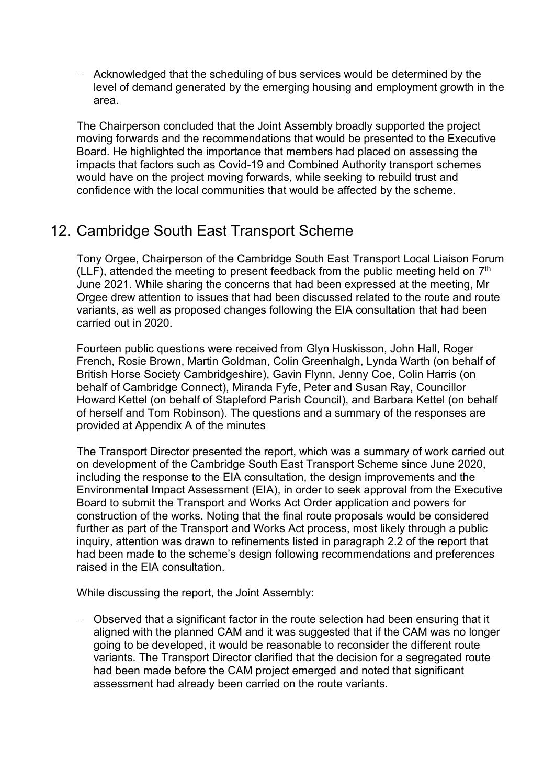− Acknowledged that the scheduling of bus services would be determined by the level of demand generated by the emerging housing and employment growth in the area.

The Chairperson concluded that the Joint Assembly broadly supported the project moving forwards and the recommendations that would be presented to the Executive Board. He highlighted the importance that members had placed on assessing the impacts that factors such as Covid-19 and Combined Authority transport schemes would have on the project moving forwards, while seeking to rebuild trust and confidence with the local communities that would be affected by the scheme.

## 12. Cambridge South East Transport Scheme

Tony Orgee, Chairperson of the Cambridge South East Transport Local Liaison Forum (LLF), attended the meeting to present feedback from the public meeting held on  $7<sup>th</sup>$ June 2021. While sharing the concerns that had been expressed at the meeting, Mr Orgee drew attention to issues that had been discussed related to the route and route variants, as well as proposed changes following the EIA consultation that had been carried out in 2020.

Fourteen public questions were received from Glyn Huskisson, John Hall, Roger French, Rosie Brown, Martin Goldman, Colin Greenhalgh, Lynda Warth (on behalf of British Horse Society Cambridgeshire), Gavin Flynn, Jenny Coe, Colin Harris (on behalf of Cambridge Connect), Miranda Fyfe, Peter and Susan Ray, Councillor Howard Kettel (on behalf of Stapleford Parish Council), and Barbara Kettel (on behalf of herself and Tom Robinson). The questions and a summary of the responses are provided at Appendix A of the minutes

The Transport Director presented the report, which was a summary of work carried out on development of the Cambridge South East Transport Scheme since June 2020, including the response to the EIA consultation, the design improvements and the Environmental Impact Assessment (EIA), in order to seek approval from the Executive Board to submit the Transport and Works Act Order application and powers for construction of the works. Noting that the final route proposals would be considered further as part of the Transport and Works Act process, most likely through a public inquiry, attention was drawn to refinements listed in paragraph 2.2 of the report that had been made to the scheme's design following recommendations and preferences raised in the EIA consultation.

While discussing the report, the Joint Assembly:

− Observed that a significant factor in the route selection had been ensuring that it aligned with the planned CAM and it was suggested that if the CAM was no longer going to be developed, it would be reasonable to reconsider the different route variants. The Transport Director clarified that the decision for a segregated route had been made before the CAM project emerged and noted that significant assessment had already been carried on the route variants.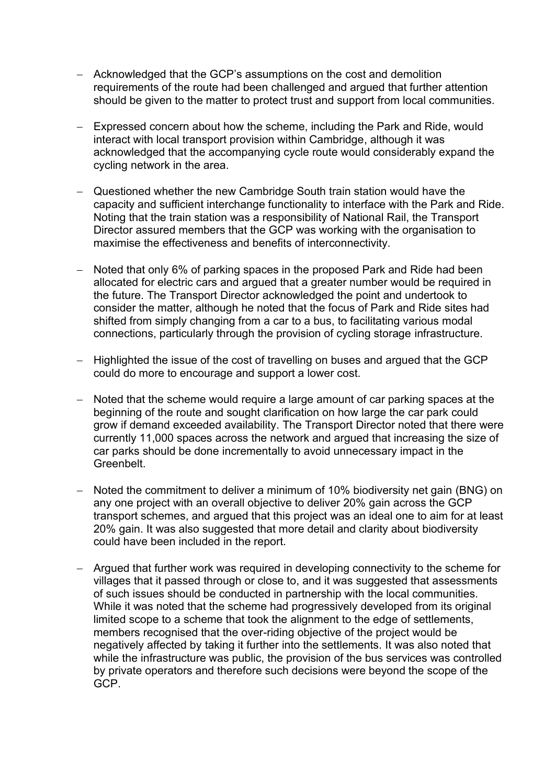- − Acknowledged that the GCP's assumptions on the cost and demolition requirements of the route had been challenged and argued that further attention should be given to the matter to protect trust and support from local communities.
- Expressed concern about how the scheme, including the Park and Ride, would interact with local transport provision within Cambridge, although it was acknowledged that the accompanying cycle route would considerably expand the cycling network in the area.
- Questioned whether the new Cambridge South train station would have the capacity and sufficient interchange functionality to interface with the Park and Ride. Noting that the train station was a responsibility of National Rail, the Transport Director assured members that the GCP was working with the organisation to maximise the effectiveness and benefits of interconnectivity.
- Noted that only 6% of parking spaces in the proposed Park and Ride had been allocated for electric cars and argued that a greater number would be required in the future. The Transport Director acknowledged the point and undertook to consider the matter, although he noted that the focus of Park and Ride sites had shifted from simply changing from a car to a bus, to facilitating various modal connections, particularly through the provision of cycling storage infrastructure.
- − Highlighted the issue of the cost of travelling on buses and argued that the GCP could do more to encourage and support a lower cost.
- − Noted that the scheme would require a large amount of car parking spaces at the beginning of the route and sought clarification on how large the car park could grow if demand exceeded availability. The Transport Director noted that there were currently 11,000 spaces across the network and argued that increasing the size of car parks should be done incrementally to avoid unnecessary impact in the Greenbelt.
- − Noted the commitment to deliver a minimum of 10% biodiversity net gain (BNG) on any one project with an overall objective to deliver 20% gain across the GCP transport schemes, and argued that this project was an ideal one to aim for at least 20% gain. It was also suggested that more detail and clarity about biodiversity could have been included in the report.
- − Argued that further work was required in developing connectivity to the scheme for villages that it passed through or close to, and it was suggested that assessments of such issues should be conducted in partnership with the local communities. While it was noted that the scheme had progressively developed from its original limited scope to a scheme that took the alignment to the edge of settlements, members recognised that the over-riding objective of the project would be negatively affected by taking it further into the settlements. It was also noted that while the infrastructure was public, the provision of the bus services was controlled by private operators and therefore such decisions were beyond the scope of the GCP.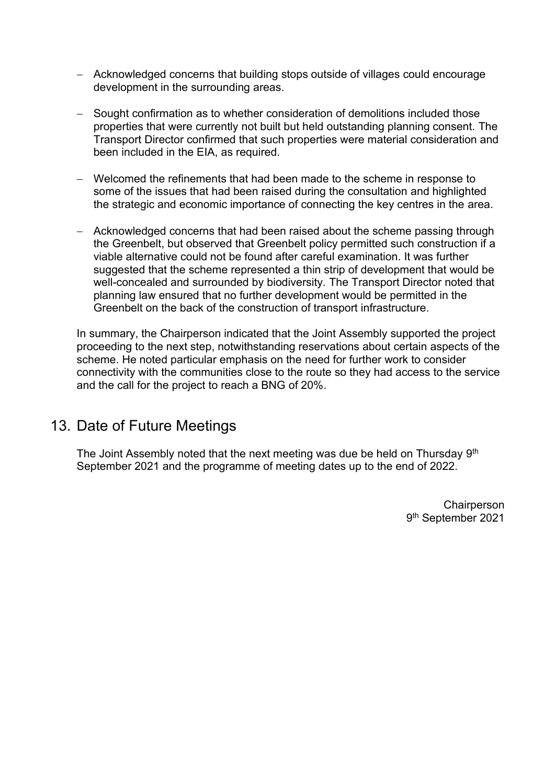- − Acknowledged concerns that building stops outside of villages could encourage development in the surrounding areas.
- − Sought confirmation as to whether consideration of demolitions included those properties that were currently not built but held outstanding planning consent. The Transport Director confirmed that such properties were material consideration and been included in the EIA, as required.
- − Welcomed the refinements that had been made to the scheme in response to some of the issues that had been raised during the consultation and highlighted the strategic and economic importance of connecting the key centres in the area.
- − Acknowledged concerns that had been raised about the scheme passing through the Greenbelt, but observed that Greenbelt policy permitted such construction if a viable alternative could not be found after careful examination. It was further suggested that the scheme represented a thin strip of development that would be well-concealed and surrounded by biodiversity. The Transport Director noted that planning law ensured that no further development would be permitted in the Greenbelt on the back of the construction of transport infrastructure.

In summary, the Chairperson indicated that the Joint Assembly supported the project proceeding to the next step, notwithstanding reservations about certain aspects of the scheme. He noted particular emphasis on the need for further work to consider connectivity with the communities close to the route so they had access to the service and the call for the project to reach a BNG of 20%.

## 13. Date of Future Meetings

The Joint Assembly noted that the next meeting was due be held on Thursday 9<sup>th</sup> September 2021 and the programme of meeting dates up to the end of 2022.

> **Chairperson** 9 th September 2021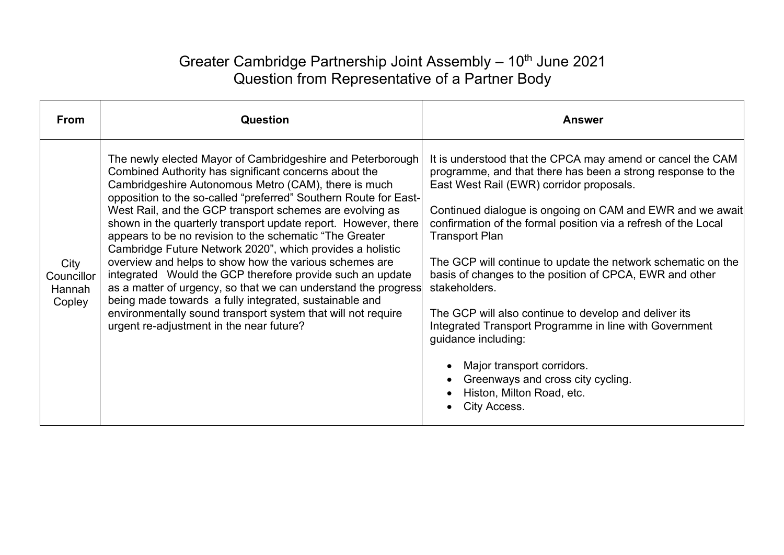# Greater Cambridge Partnership Joint Assembly - 10<sup>th</sup> June 2021 Question from Representative of a Partner Body

| <b>From</b>                            | <b>Question</b>                                                                                                                                                                                                                                                                                                                                                                                                                                                                                                                                                                                                                                                                                                                                                                                                                                                       | <b>Answer</b>                                                                                                                                                                                                                                                                                                                                                                                                                                                                                                                                                                                                                                                                                                                       |
|----------------------------------------|-----------------------------------------------------------------------------------------------------------------------------------------------------------------------------------------------------------------------------------------------------------------------------------------------------------------------------------------------------------------------------------------------------------------------------------------------------------------------------------------------------------------------------------------------------------------------------------------------------------------------------------------------------------------------------------------------------------------------------------------------------------------------------------------------------------------------------------------------------------------------|-------------------------------------------------------------------------------------------------------------------------------------------------------------------------------------------------------------------------------------------------------------------------------------------------------------------------------------------------------------------------------------------------------------------------------------------------------------------------------------------------------------------------------------------------------------------------------------------------------------------------------------------------------------------------------------------------------------------------------------|
| City<br>Councillor<br>Hannah<br>Copley | The newly elected Mayor of Cambridgeshire and Peterborough<br>Combined Authority has significant concerns about the<br>Cambridgeshire Autonomous Metro (CAM), there is much<br>opposition to the so-called "preferred" Southern Route for East-<br>West Rail, and the GCP transport schemes are evolving as<br>shown in the quarterly transport update report. However, there<br>appears to be no revision to the schematic "The Greater"<br>Cambridge Future Network 2020", which provides a holistic<br>overview and helps to show how the various schemes are<br>integrated Would the GCP therefore provide such an update<br>as a matter of urgency, so that we can understand the progress<br>being made towards a fully integrated, sustainable and<br>environmentally sound transport system that will not require<br>urgent re-adjustment in the near future? | It is understood that the CPCA may amend or cancel the CAM<br>programme, and that there has been a strong response to the<br>East West Rail (EWR) corridor proposals.<br>Continued dialogue is ongoing on CAM and EWR and we await<br>confirmation of the formal position via a refresh of the Local<br><b>Transport Plan</b><br>The GCP will continue to update the network schematic on the<br>basis of changes to the position of CPCA, EWR and other<br>stakeholders.<br>The GCP will also continue to develop and deliver its<br>Integrated Transport Programme in line with Government<br>guidance including:<br>Major transport corridors.<br>Greenways and cross city cycling.<br>Histon, Milton Road, etc.<br>City Access. |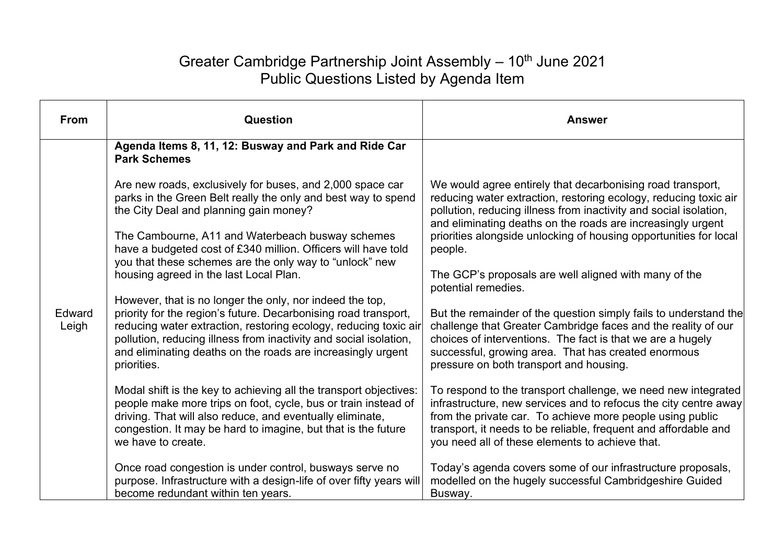# Greater Cambridge Partnership Joint Assembly - 10<sup>th</sup> June 2021 Public Questions Listed by Agenda Item

| <b>From</b>     | Question                                                                                                                                                                                                                                                                                                                                           | <b>Answer</b>                                                                                                                                                                                                                                                                                                                                                                     |
|-----------------|----------------------------------------------------------------------------------------------------------------------------------------------------------------------------------------------------------------------------------------------------------------------------------------------------------------------------------------------------|-----------------------------------------------------------------------------------------------------------------------------------------------------------------------------------------------------------------------------------------------------------------------------------------------------------------------------------------------------------------------------------|
| Edward<br>Leigh | Agenda Items 8, 11, 12: Busway and Park and Ride Car<br><b>Park Schemes</b>                                                                                                                                                                                                                                                                        |                                                                                                                                                                                                                                                                                                                                                                                   |
|                 | Are new roads, exclusively for buses, and 2,000 space car<br>parks in the Green Belt really the only and best way to spend<br>the City Deal and planning gain money?<br>The Cambourne, A11 and Waterbeach busway schemes<br>have a budgeted cost of £340 million. Officers will have told                                                          | We would agree entirely that decarbonising road transport,<br>reducing water extraction, restoring ecology, reducing toxic air<br>pollution, reducing illness from inactivity and social isolation,<br>and eliminating deaths on the roads are increasingly urgent<br>priorities alongside unlocking of housing opportunities for local<br>people.                                |
|                 | you that these schemes are the only way to "unlock" new<br>housing agreed in the last Local Plan.                                                                                                                                                                                                                                                  | The GCP's proposals are well aligned with many of the<br>potential remedies.<br>But the remainder of the question simply fails to understand the<br>challenge that Greater Cambridge faces and the reality of our<br>choices of interventions. The fact is that we are a hugely<br>successful, growing area. That has created enormous<br>pressure on both transport and housing. |
|                 | However, that is no longer the only, nor indeed the top,<br>priority for the region's future. Decarbonising road transport,<br>reducing water extraction, restoring ecology, reducing toxic air<br>pollution, reducing illness from inactivity and social isolation,<br>and eliminating deaths on the roads are increasingly urgent<br>priorities. |                                                                                                                                                                                                                                                                                                                                                                                   |
|                 | Modal shift is the key to achieving all the transport objectives:<br>people make more trips on foot, cycle, bus or train instead of<br>driving. That will also reduce, and eventually eliminate,<br>congestion. It may be hard to imagine, but that is the future<br>we have to create.                                                            | To respond to the transport challenge, we need new integrated<br>infrastructure, new services and to refocus the city centre away<br>from the private car. To achieve more people using public<br>transport, it needs to be reliable, frequent and affordable and<br>you need all of these elements to achieve that.                                                              |
|                 | Once road congestion is under control, busways serve no<br>purpose. Infrastructure with a design-life of over fifty years will<br>become redundant within ten years.                                                                                                                                                                               | Today's agenda covers some of our infrastructure proposals,<br>modelled on the hugely successful Cambridgeshire Guided<br>Busway.                                                                                                                                                                                                                                                 |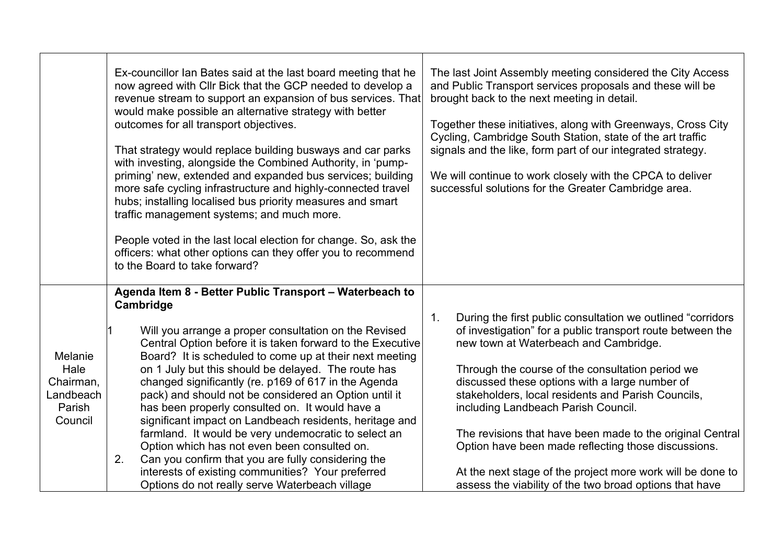|                                                                | Ex-councillor Ian Bates said at the last board meeting that he<br>now agreed with Cllr Bick that the GCP needed to develop a<br>revenue stream to support an expansion of bus services. That<br>would make possible an alternative strategy with better<br>outcomes for all transport objectives.<br>That strategy would replace building busways and car parks<br>with investing, alongside the Combined Authority, in 'pump-<br>priming' new, extended and expanded bus services; building<br>more safe cycling infrastructure and highly-connected travel<br>hubs; installing localised bus priority measures and smart<br>traffic management systems; and much more.<br>People voted in the last local election for change. So, ask the<br>officers: what other options can they offer you to recommend<br>to the Board to take forward? | The last Joint Assembly meeting considered the City Access<br>and Public Transport services proposals and these will be<br>brought back to the next meeting in detail.<br>Together these initiatives, along with Greenways, Cross City<br>Cycling, Cambridge South Station, state of the art traffic<br>signals and the like, form part of our integrated strategy.<br>We will continue to work closely with the CPCA to deliver<br>successful solutions for the Greater Cambridge area.                    |
|----------------------------------------------------------------|----------------------------------------------------------------------------------------------------------------------------------------------------------------------------------------------------------------------------------------------------------------------------------------------------------------------------------------------------------------------------------------------------------------------------------------------------------------------------------------------------------------------------------------------------------------------------------------------------------------------------------------------------------------------------------------------------------------------------------------------------------------------------------------------------------------------------------------------|-------------------------------------------------------------------------------------------------------------------------------------------------------------------------------------------------------------------------------------------------------------------------------------------------------------------------------------------------------------------------------------------------------------------------------------------------------------------------------------------------------------|
|                                                                | Agenda Item 8 - Better Public Transport - Waterbeach to<br>Cambridge                                                                                                                                                                                                                                                                                                                                                                                                                                                                                                                                                                                                                                                                                                                                                                         |                                                                                                                                                                                                                                                                                                                                                                                                                                                                                                             |
| Melanie<br>Hale<br>Chairman,<br>Landbeach<br>Parish<br>Council | Will you arrange a proper consultation on the Revised<br>Central Option before it is taken forward to the Executive<br>Board? It is scheduled to come up at their next meeting<br>on 1 July but this should be delayed. The route has<br>changed significantly (re. p169 of 617 in the Agenda<br>pack) and should not be considered an Option until it<br>has been properly consulted on. It would have a<br>significant impact on Landbeach residents, heritage and<br>farmland. It would be very undemocratic to select an<br>Option which has not even been consulted on.                                                                                                                                                                                                                                                                 | During the first public consultation we outlined "corridors"<br>$\mathbf 1$ .<br>of investigation" for a public transport route between the<br>new town at Waterbeach and Cambridge.<br>Through the course of the consultation period we<br>discussed these options with a large number of<br>stakeholders, local residents and Parish Councils,<br>including Landbeach Parish Council.<br>The revisions that have been made to the original Central<br>Option have been made reflecting those discussions. |
|                                                                | 2.<br>Can you confirm that you are fully considering the<br>interests of existing communities? Your preferred<br>Options do not really serve Waterbeach village                                                                                                                                                                                                                                                                                                                                                                                                                                                                                                                                                                                                                                                                              | At the next stage of the project more work will be done to<br>assess the viability of the two broad options that have                                                                                                                                                                                                                                                                                                                                                                                       |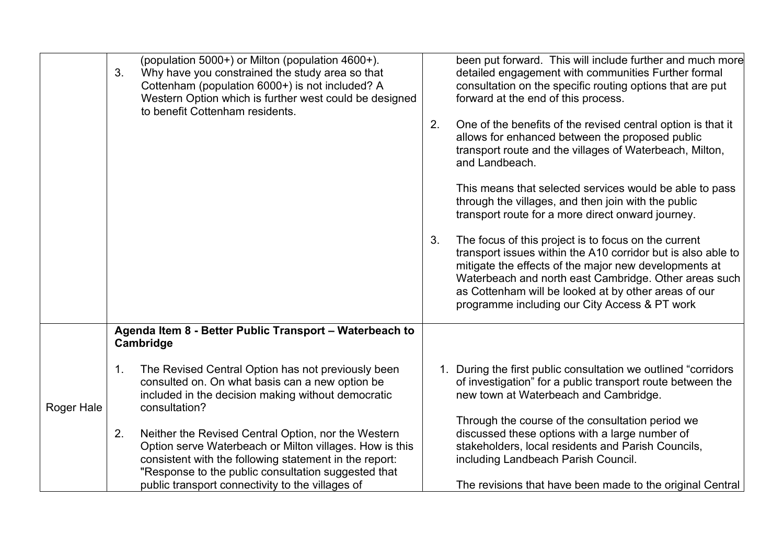|            | (population 5000+) or Milton (population 4600+).<br>3.<br>Why have you constrained the study area so that<br>Cottenham (population 6000+) is not included? A<br>Western Option which is further west could be designed<br>to benefit Cottenham residents.                                 | been put forward. This will include further and much more<br>detailed engagement with communities Further formal<br>consultation on the specific routing options that are put<br>forward at the end of this process.                                                                                                                                  |
|------------|-------------------------------------------------------------------------------------------------------------------------------------------------------------------------------------------------------------------------------------------------------------------------------------------|-------------------------------------------------------------------------------------------------------------------------------------------------------------------------------------------------------------------------------------------------------------------------------------------------------------------------------------------------------|
|            |                                                                                                                                                                                                                                                                                           | One of the benefits of the revised central option is that it<br>2.<br>allows for enhanced between the proposed public<br>transport route and the villages of Waterbeach, Milton,<br>and Landbeach.                                                                                                                                                    |
|            |                                                                                                                                                                                                                                                                                           | This means that selected services would be able to pass<br>through the villages, and then join with the public<br>transport route for a more direct onward journey.                                                                                                                                                                                   |
|            |                                                                                                                                                                                                                                                                                           | The focus of this project is to focus on the current<br>3.<br>transport issues within the A10 corridor but is also able to<br>mitigate the effects of the major new developments at<br>Waterbeach and north east Cambridge. Other areas such<br>as Cottenham will be looked at by other areas of our<br>programme including our City Access & PT work |
|            | Agenda Item 8 - Better Public Transport - Waterbeach to<br>Cambridge                                                                                                                                                                                                                      |                                                                                                                                                                                                                                                                                                                                                       |
| Roger Hale | 1.<br>The Revised Central Option has not previously been<br>consulted on. On what basis can a new option be<br>included in the decision making without democratic<br>consultation?                                                                                                        | 1. During the first public consultation we outlined "corridors"<br>of investigation" for a public transport route between the<br>new town at Waterbeach and Cambridge.                                                                                                                                                                                |
|            | 2.<br>Neither the Revised Central Option, nor the Western<br>Option serve Waterbeach or Milton villages. How is this<br>consistent with the following statement in the report:<br>"Response to the public consultation suggested that<br>public transport connectivity to the villages of | Through the course of the consultation period we<br>discussed these options with a large number of<br>stakeholders, local residents and Parish Councils,<br>including Landbeach Parish Council.<br>The revisions that have been made to the original Central                                                                                          |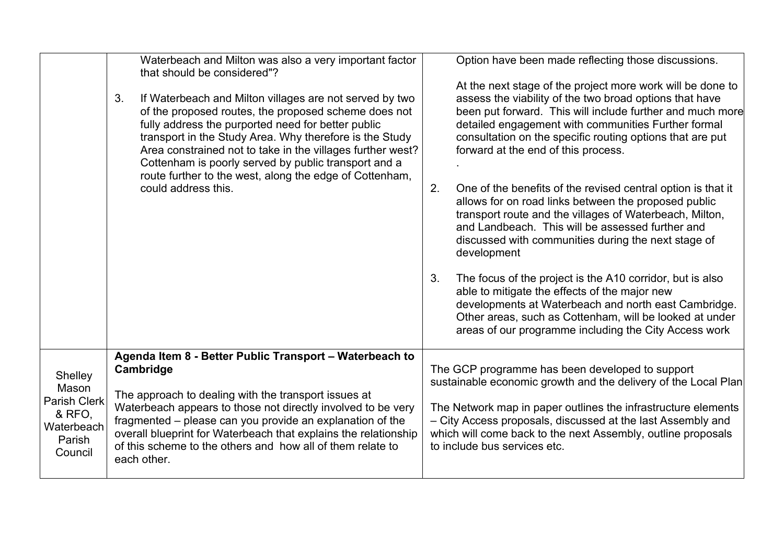|                                                                                      | Waterbeach and Milton was also a very important factor<br>that should be considered"?<br>3.<br>If Waterbeach and Milton villages are not served by two<br>of the proposed routes, the proposed scheme does not<br>fully address the purported need for better public<br>transport in the Study Area. Why therefore is the Study<br>Area constrained not to take in the villages further west?<br>Cottenham is poorly served by public transport and a<br>route further to the west, along the edge of Cottenham,<br>could address this. | Option have been made reflecting those discussions.<br>At the next stage of the project more work will be done to<br>assess the viability of the two broad options that have<br>been put forward. This will include further and much more<br>detailed engagement with communities Further formal<br>consultation on the specific routing options that are put<br>forward at the end of this process.<br>2.<br>One of the benefits of the revised central option is that it<br>allows for on road links between the proposed public<br>transport route and the villages of Waterbeach, Milton,<br>and Landbeach. This will be assessed further and<br>discussed with communities during the next stage of<br>development<br>The focus of the project is the A10 corridor, but is also<br>3.<br>able to mitigate the effects of the major new<br>developments at Waterbeach and north east Cambridge.<br>Other areas, such as Cottenham, will be looked at under |
|--------------------------------------------------------------------------------------|-----------------------------------------------------------------------------------------------------------------------------------------------------------------------------------------------------------------------------------------------------------------------------------------------------------------------------------------------------------------------------------------------------------------------------------------------------------------------------------------------------------------------------------------|----------------------------------------------------------------------------------------------------------------------------------------------------------------------------------------------------------------------------------------------------------------------------------------------------------------------------------------------------------------------------------------------------------------------------------------------------------------------------------------------------------------------------------------------------------------------------------------------------------------------------------------------------------------------------------------------------------------------------------------------------------------------------------------------------------------------------------------------------------------------------------------------------------------------------------------------------------------|
|                                                                                      |                                                                                                                                                                                                                                                                                                                                                                                                                                                                                                                                         | areas of our programme including the City Access work                                                                                                                                                                                                                                                                                                                                                                                                                                                                                                                                                                                                                                                                                                                                                                                                                                                                                                          |
| Shelley<br>Mason<br><b>Parish Clerk</b><br>& RFO,<br>Waterbeach<br>Parish<br>Council | Agenda Item 8 - Better Public Transport - Waterbeach to<br>Cambridge<br>The approach to dealing with the transport issues at<br>Waterbeach appears to those not directly involved to be very<br>fragmented - please can you provide an explanation of the<br>overall blueprint for Waterbeach that explains the relationship<br>of this scheme to the others and how all of them relate to<br>each other.                                                                                                                               | The GCP programme has been developed to support<br>sustainable economic growth and the delivery of the Local Plan<br>The Network map in paper outlines the infrastructure elements<br>- City Access proposals, discussed at the last Assembly and<br>which will come back to the next Assembly, outline proposals<br>to include bus services etc.                                                                                                                                                                                                                                                                                                                                                                                                                                                                                                                                                                                                              |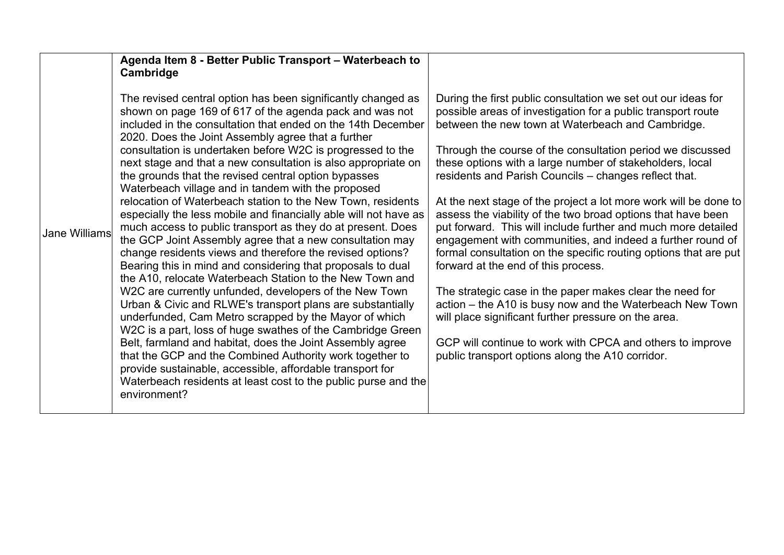|                      | Agenda Item 8 - Better Public Transport - Waterbeach to<br>Cambridge                                                                                                                                                                                                                                                                                                                                                                                                                                                                                                                                                                                                                                                                                                                                                                                                                                                                                                                                                                                                                                                                                                                                                                                                                                                                                                                                                                                                    |                                                                                                                                                                                                                                                                                                                                                                                                                                                                                                                                                                                                                                                                                                                                                                                                                                                                                                                                                                                                                                                      |
|----------------------|-------------------------------------------------------------------------------------------------------------------------------------------------------------------------------------------------------------------------------------------------------------------------------------------------------------------------------------------------------------------------------------------------------------------------------------------------------------------------------------------------------------------------------------------------------------------------------------------------------------------------------------------------------------------------------------------------------------------------------------------------------------------------------------------------------------------------------------------------------------------------------------------------------------------------------------------------------------------------------------------------------------------------------------------------------------------------------------------------------------------------------------------------------------------------------------------------------------------------------------------------------------------------------------------------------------------------------------------------------------------------------------------------------------------------------------------------------------------------|------------------------------------------------------------------------------------------------------------------------------------------------------------------------------------------------------------------------------------------------------------------------------------------------------------------------------------------------------------------------------------------------------------------------------------------------------------------------------------------------------------------------------------------------------------------------------------------------------------------------------------------------------------------------------------------------------------------------------------------------------------------------------------------------------------------------------------------------------------------------------------------------------------------------------------------------------------------------------------------------------------------------------------------------------|
| <b>Jane Williams</b> | The revised central option has been significantly changed as<br>shown on page 169 of 617 of the agenda pack and was not<br>included in the consultation that ended on the 14th December<br>2020. Does the Joint Assembly agree that a further<br>consultation is undertaken before W2C is progressed to the<br>next stage and that a new consultation is also appropriate on<br>the grounds that the revised central option bypasses<br>Waterbeach village and in tandem with the proposed<br>relocation of Waterbeach station to the New Town, residents<br>especially the less mobile and financially able will not have as<br>much access to public transport as they do at present. Does<br>the GCP Joint Assembly agree that a new consultation may<br>change residents views and therefore the revised options?<br>Bearing this in mind and considering that proposals to dual<br>the A10, relocate Waterbeach Station to the New Town and<br>W2C are currently unfunded, developers of the New Town<br>Urban & Civic and RLWE's transport plans are substantially<br>underfunded, Cam Metro scrapped by the Mayor of which<br>W2C is a part, loss of huge swathes of the Cambridge Green<br>Belt, farmland and habitat, does the Joint Assembly agree<br>that the GCP and the Combined Authority work together to<br>provide sustainable, accessible, affordable transport for<br>Waterbeach residents at least cost to the public purse and the<br>environment? | During the first public consultation we set out our ideas for<br>possible areas of investigation for a public transport route<br>between the new town at Waterbeach and Cambridge.<br>Through the course of the consultation period we discussed<br>these options with a large number of stakeholders, local<br>residents and Parish Councils - changes reflect that.<br>At the next stage of the project a lot more work will be done to<br>assess the viability of the two broad options that have been<br>put forward. This will include further and much more detailed<br>engagement with communities, and indeed a further round of<br>formal consultation on the specific routing options that are put<br>forward at the end of this process.<br>The strategic case in the paper makes clear the need for<br>action – the A10 is busy now and the Waterbeach New Town<br>will place significant further pressure on the area.<br>GCP will continue to work with CPCA and others to improve<br>public transport options along the A10 corridor. |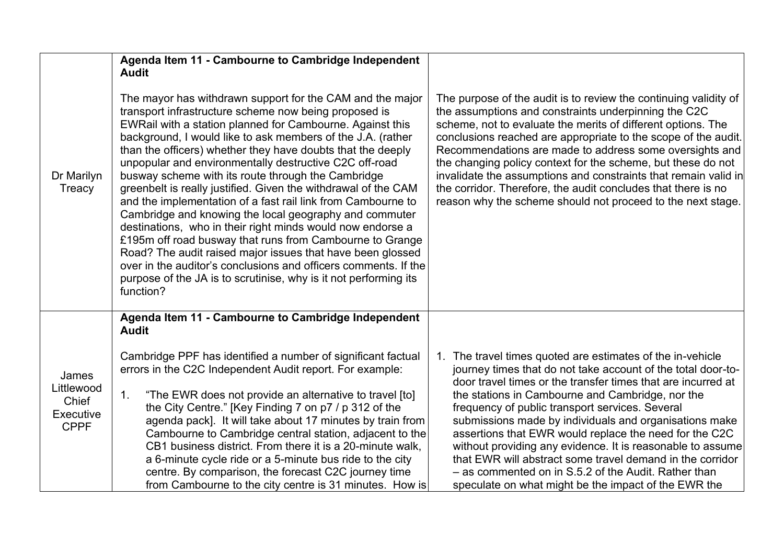|                                                          | Agenda Item 11 - Cambourne to Cambridge Independent                                                                                                                                                                                                                                                                                                                                                                                                                                                                                                                                                                                                                                                                                                                                                                                                                                                                                                                                   |                                                                                                                                                                                                                                                                                                                                                                                                                                                                                                                                                                                                                                                                  |
|----------------------------------------------------------|---------------------------------------------------------------------------------------------------------------------------------------------------------------------------------------------------------------------------------------------------------------------------------------------------------------------------------------------------------------------------------------------------------------------------------------------------------------------------------------------------------------------------------------------------------------------------------------------------------------------------------------------------------------------------------------------------------------------------------------------------------------------------------------------------------------------------------------------------------------------------------------------------------------------------------------------------------------------------------------|------------------------------------------------------------------------------------------------------------------------------------------------------------------------------------------------------------------------------------------------------------------------------------------------------------------------------------------------------------------------------------------------------------------------------------------------------------------------------------------------------------------------------------------------------------------------------------------------------------------------------------------------------------------|
| Dr Marilyn<br>Treacy                                     | <b>Audit</b><br>The mayor has withdrawn support for the CAM and the major<br>transport infrastructure scheme now being proposed is<br>EWRail with a station planned for Cambourne. Against this<br>background, I would like to ask members of the J.A. (rather<br>than the officers) whether they have doubts that the deeply<br>unpopular and environmentally destructive C2C off-road<br>busway scheme with its route through the Cambridge<br>greenbelt is really justified. Given the withdrawal of the CAM<br>and the implementation of a fast rail link from Cambourne to<br>Cambridge and knowing the local geography and commuter<br>destinations, who in their right minds would now endorse a<br>£195m off road busway that runs from Cambourne to Grange<br>Road? The audit raised major issues that have been glossed<br>over in the auditor's conclusions and officers comments. If the<br>purpose of the JA is to scrutinise, why is it not performing its<br>function? | The purpose of the audit is to review the continuing validity of<br>the assumptions and constraints underpinning the C2C<br>scheme, not to evaluate the merits of different options. The<br>conclusions reached are appropriate to the scope of the audit.<br>Recommendations are made to address some oversights and<br>the changing policy context for the scheme, but these do not<br>invalidate the assumptions and constraints that remain valid in<br>the corridor. Therefore, the audit concludes that there is no<br>reason why the scheme should not proceed to the next stage.                                                                         |
| James<br>Littlewood<br>Chief<br>Executive<br><b>CPPF</b> | Agenda Item 11 - Cambourne to Cambridge Independent<br><b>Audit</b><br>Cambridge PPF has identified a number of significant factual<br>errors in the C2C Independent Audit report. For example:<br>"The EWR does not provide an alternative to travel [to]<br>1 <sub>1</sub><br>the City Centre." [Key Finding 7 on p7 / p 312 of the<br>agenda pack]. It will take about 17 minutes by train from<br>Cambourne to Cambridge central station, adjacent to the<br>CB1 business district. From there it is a 20-minute walk,<br>a 6-minute cycle ride or a 5-minute bus ride to the city<br>centre. By comparison, the forecast C2C journey time<br>from Cambourne to the city centre is 31 minutes. How is                                                                                                                                                                                                                                                                             | 1. The travel times quoted are estimates of the in-vehicle<br>journey times that do not take account of the total door-to-<br>door travel times or the transfer times that are incurred at<br>the stations in Cambourne and Cambridge, nor the<br>frequency of public transport services. Several<br>submissions made by individuals and organisations make<br>assertions that EWR would replace the need for the C2C<br>without providing any evidence. It is reasonable to assume<br>that EWR will abstract some travel demand in the corridor<br>- as commented on in S.5.2 of the Audit. Rather than<br>speculate on what might be the impact of the EWR the |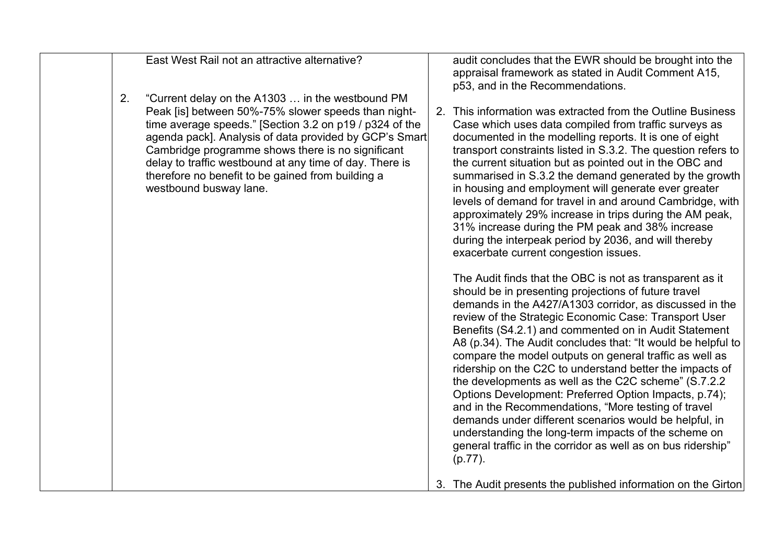| East West Rail not an attractive alternative?                                                                                                                                                                                                                                                                                                                                                                                     | audit concludes that the EWR should be brought into the<br>appraisal framework as stated in Audit Comment A15,<br>p53, and in the Recommendations.                                                                                                                                                                                                                                                                                                                                                                                                                                                                                                                                                                                                                                                                                                                                                                                                                                                                                                                                                                                                                                                                                                                                                                                                                                                                                                                                                                                                                           |  |
|-----------------------------------------------------------------------------------------------------------------------------------------------------------------------------------------------------------------------------------------------------------------------------------------------------------------------------------------------------------------------------------------------------------------------------------|------------------------------------------------------------------------------------------------------------------------------------------------------------------------------------------------------------------------------------------------------------------------------------------------------------------------------------------------------------------------------------------------------------------------------------------------------------------------------------------------------------------------------------------------------------------------------------------------------------------------------------------------------------------------------------------------------------------------------------------------------------------------------------------------------------------------------------------------------------------------------------------------------------------------------------------------------------------------------------------------------------------------------------------------------------------------------------------------------------------------------------------------------------------------------------------------------------------------------------------------------------------------------------------------------------------------------------------------------------------------------------------------------------------------------------------------------------------------------------------------------------------------------------------------------------------------------|--|
| 2.<br>"Current delay on the A1303  in the westbound PM<br>Peak [is] between 50%-75% slower speeds than night-<br>time average speeds." [Section 3.2 on p19 / p324 of the<br>agenda pack]. Analysis of data provided by GCP's Smart<br>Cambridge programme shows there is no significant<br>delay to traffic westbound at any time of day. There is<br>therefore no benefit to be gained from building a<br>westbound busway lane. | 2. This information was extracted from the Outline Business<br>Case which uses data compiled from traffic surveys as<br>documented in the modelling reports. It is one of eight<br>transport constraints listed in S.3.2. The question refers to<br>the current situation but as pointed out in the OBC and<br>summarised in S.3.2 the demand generated by the growth<br>in housing and employment will generate ever greater<br>levels of demand for travel in and around Cambridge, with<br>approximately 29% increase in trips during the AM peak,<br>31% increase during the PM peak and 38% increase<br>during the interpeak period by 2036, and will thereby<br>exacerbate current congestion issues.<br>The Audit finds that the OBC is not as transparent as it<br>should be in presenting projections of future travel<br>demands in the A427/A1303 corridor, as discussed in the<br>review of the Strategic Economic Case: Transport User<br>Benefits (S4.2.1) and commented on in Audit Statement<br>A8 (p.34). The Audit concludes that: "It would be helpful to<br>compare the model outputs on general traffic as well as<br>ridership on the C2C to understand better the impacts of<br>the developments as well as the C2C scheme" (S.7.2.2)<br>Options Development: Preferred Option Impacts, p.74);<br>and in the Recommendations, "More testing of travel<br>demands under different scenarios would be helpful, in<br>understanding the long-term impacts of the scheme on<br>general traffic in the corridor as well as on bus ridership"<br>$(p.77)$ . |  |
|                                                                                                                                                                                                                                                                                                                                                                                                                                   | 3. The Audit presents the published information on the Girton                                                                                                                                                                                                                                                                                                                                                                                                                                                                                                                                                                                                                                                                                                                                                                                                                                                                                                                                                                                                                                                                                                                                                                                                                                                                                                                                                                                                                                                                                                                |  |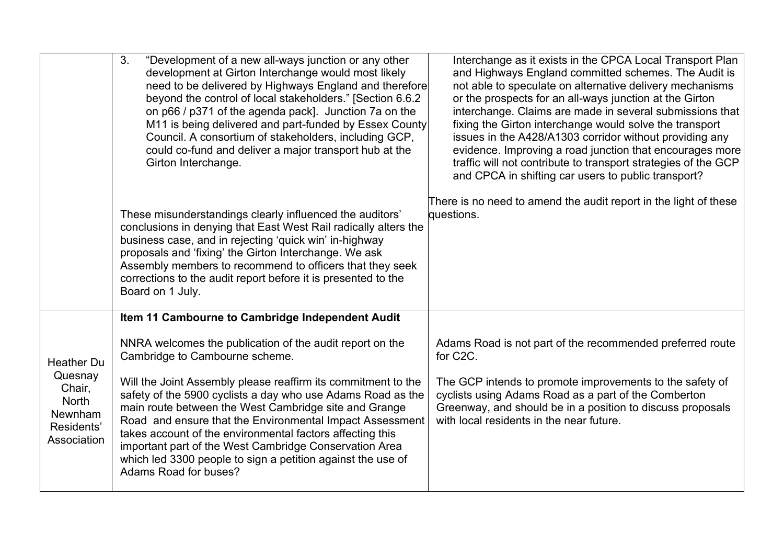|                                                                    | 3.<br>"Development of a new all-ways junction or any other<br>development at Girton Interchange would most likely<br>need to be delivered by Highways England and therefore<br>beyond the control of local stakeholders." [Section 6.6.2<br>on p66 / p371 of the agenda pack]. Junction 7a on the<br>M11 is being delivered and part-funded by Essex County<br>Council. A consortium of stakeholders, including GCP,<br>could co-fund and deliver a major transport hub at the<br>Girton Interchange. | Interchange as it exists in the CPCA Local Transport Plan<br>and Highways England committed schemes. The Audit is<br>not able to speculate on alternative delivery mechanisms<br>or the prospects for an all-ways junction at the Girton<br>interchange. Claims are made in several submissions that<br>fixing the Girton interchange would solve the transport<br>issues in the A428/A1303 corridor without providing any<br>evidence. Improving a road junction that encourages more<br>traffic will not contribute to transport strategies of the GCP<br>and CPCA in shifting car users to public transport? |
|--------------------------------------------------------------------|-------------------------------------------------------------------------------------------------------------------------------------------------------------------------------------------------------------------------------------------------------------------------------------------------------------------------------------------------------------------------------------------------------------------------------------------------------------------------------------------------------|-----------------------------------------------------------------------------------------------------------------------------------------------------------------------------------------------------------------------------------------------------------------------------------------------------------------------------------------------------------------------------------------------------------------------------------------------------------------------------------------------------------------------------------------------------------------------------------------------------------------|
|                                                                    | These misunderstandings clearly influenced the auditors'<br>conclusions in denying that East West Rail radically alters the<br>business case, and in rejecting 'quick win' in-highway<br>proposals and 'fixing' the Girton Interchange. We ask<br>Assembly members to recommend to officers that they seek<br>corrections to the audit report before it is presented to the<br>Board on 1 July.                                                                                                       | There is no need to amend the audit report in the light of these<br>questions.                                                                                                                                                                                                                                                                                                                                                                                                                                                                                                                                  |
|                                                                    | Item 11 Cambourne to Cambridge Independent Audit                                                                                                                                                                                                                                                                                                                                                                                                                                                      |                                                                                                                                                                                                                                                                                                                                                                                                                                                                                                                                                                                                                 |
| <b>Heather Du</b>                                                  | NNRA welcomes the publication of the audit report on the<br>Cambridge to Cambourne scheme.                                                                                                                                                                                                                                                                                                                                                                                                            | Adams Road is not part of the recommended preferred route<br>for C2C.                                                                                                                                                                                                                                                                                                                                                                                                                                                                                                                                           |
| Quesnay<br>Chair,<br>North<br>Newnham<br>Residents'<br>Association | Will the Joint Assembly please reaffirm its commitment to the<br>safety of the 5900 cyclists a day who use Adams Road as the<br>main route between the West Cambridge site and Grange<br>Road and ensure that the Environmental Impact Assessment<br>takes account of the environmental factors affecting this<br>important part of the West Cambridge Conservation Area<br>which led 3300 people to sign a petition against the use of<br>Adams Road for buses?                                      | The GCP intends to promote improvements to the safety of<br>cyclists using Adams Road as a part of the Comberton<br>Greenway, and should be in a position to discuss proposals<br>with local residents in the near future.                                                                                                                                                                                                                                                                                                                                                                                      |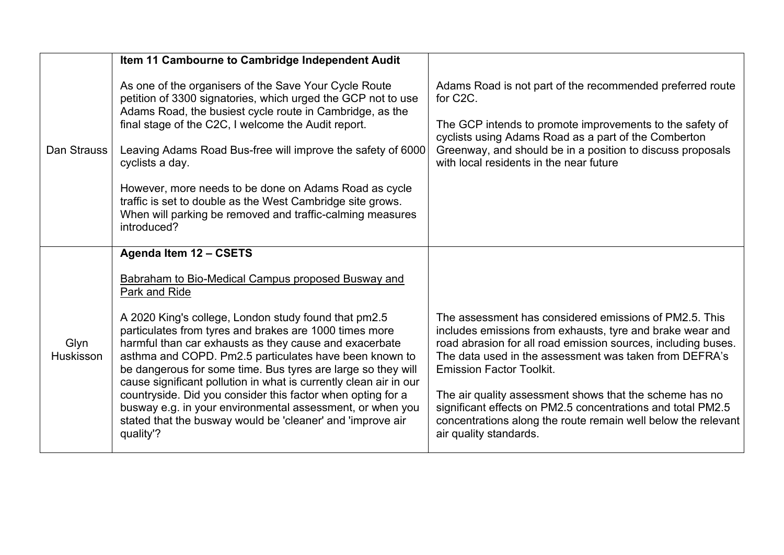|                          | Item 11 Cambourne to Cambridge Independent Audit                                                                                                                                                                                                                                                                                                                                                                                                                                                                                                                                                                                                                                |                                                                                                                                                                                                                                                                                                                                                                                                                                                                                                        |
|--------------------------|---------------------------------------------------------------------------------------------------------------------------------------------------------------------------------------------------------------------------------------------------------------------------------------------------------------------------------------------------------------------------------------------------------------------------------------------------------------------------------------------------------------------------------------------------------------------------------------------------------------------------------------------------------------------------------|--------------------------------------------------------------------------------------------------------------------------------------------------------------------------------------------------------------------------------------------------------------------------------------------------------------------------------------------------------------------------------------------------------------------------------------------------------------------------------------------------------|
| Dan Strauss              | As one of the organisers of the Save Your Cycle Route<br>petition of 3300 signatories, which urged the GCP not to use<br>Adams Road, the busiest cycle route in Cambridge, as the<br>final stage of the C2C, I welcome the Audit report.<br>Leaving Adams Road Bus-free will improve the safety of 6000<br>cyclists a day.<br>However, more needs to be done on Adams Road as cycle<br>traffic is set to double as the West Cambridge site grows.<br>When will parking be removed and traffic-calming measures<br>introduced?                                                                                                                                                   | Adams Road is not part of the recommended preferred route<br>for C2C.<br>The GCP intends to promote improvements to the safety of<br>cyclists using Adams Road as a part of the Comberton<br>Greenway, and should be in a position to discuss proposals<br>with local residents in the near future                                                                                                                                                                                                     |
| Glyn<br><b>Huskisson</b> | Agenda Item 12 - CSETS<br>Babraham to Bio-Medical Campus proposed Busway and<br>Park and Ride<br>A 2020 King's college, London study found that pm2.5<br>particulates from tyres and brakes are 1000 times more<br>harmful than car exhausts as they cause and exacerbate<br>asthma and COPD. Pm2.5 particulates have been known to<br>be dangerous for some time. Bus tyres are large so they will<br>cause significant pollution in what is currently clean air in our<br>countryside. Did you consider this factor when opting for a<br>busway e.g. in your environmental assessment, or when you<br>stated that the busway would be 'cleaner' and 'improve air<br>quality'? | The assessment has considered emissions of PM2.5. This<br>includes emissions from exhausts, tyre and brake wear and<br>road abrasion for all road emission sources, including buses.<br>The data used in the assessment was taken from DEFRA's<br><b>Emission Factor Toolkit.</b><br>The air quality assessment shows that the scheme has no<br>significant effects on PM2.5 concentrations and total PM2.5<br>concentrations along the route remain well below the relevant<br>air quality standards. |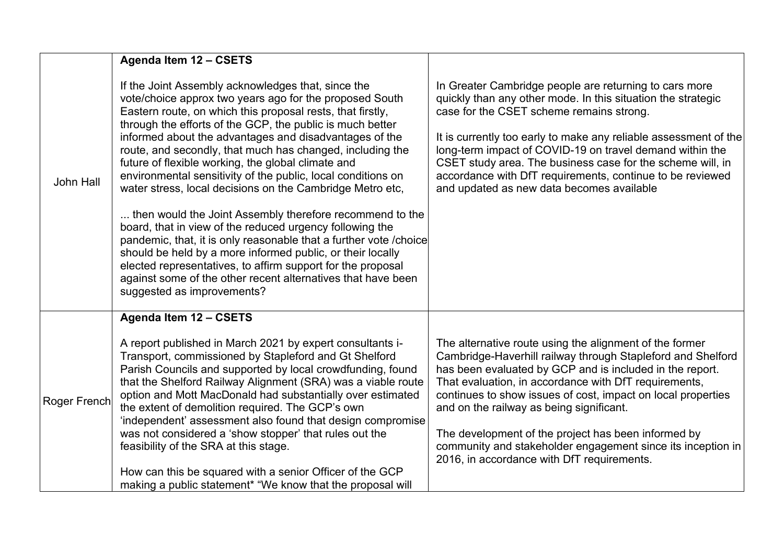|                  | Agenda Item 12 - CSETS                                                                                                                                                                                                                                                                                                                                                                                                                                                                                                                                                                                                                                                                                                                                                                                                                                                                                                                                                      |                                                                                                                                                                                                                                                                                                                                                                                                                                                                                                                             |
|------------------|-----------------------------------------------------------------------------------------------------------------------------------------------------------------------------------------------------------------------------------------------------------------------------------------------------------------------------------------------------------------------------------------------------------------------------------------------------------------------------------------------------------------------------------------------------------------------------------------------------------------------------------------------------------------------------------------------------------------------------------------------------------------------------------------------------------------------------------------------------------------------------------------------------------------------------------------------------------------------------|-----------------------------------------------------------------------------------------------------------------------------------------------------------------------------------------------------------------------------------------------------------------------------------------------------------------------------------------------------------------------------------------------------------------------------------------------------------------------------------------------------------------------------|
| <b>John Hall</b> | If the Joint Assembly acknowledges that, since the<br>vote/choice approx two years ago for the proposed South<br>Eastern route, on which this proposal rests, that firstly,<br>through the efforts of the GCP, the public is much better<br>informed about the advantages and disadvantages of the<br>route, and secondly, that much has changed, including the<br>future of flexible working, the global climate and<br>environmental sensitivity of the public, local conditions on<br>water stress, local decisions on the Cambridge Metro etc,<br>then would the Joint Assembly therefore recommend to the<br>board, that in view of the reduced urgency following the<br>pandemic, that, it is only reasonable that a further vote / choice<br>should be held by a more informed public, or their locally<br>elected representatives, to affirm support for the proposal<br>against some of the other recent alternatives that have been<br>suggested as improvements? | In Greater Cambridge people are returning to cars more<br>quickly than any other mode. In this situation the strategic<br>case for the CSET scheme remains strong.<br>It is currently too early to make any reliable assessment of the<br>long-term impact of COVID-19 on travel demand within the<br>CSET study area. The business case for the scheme will, in<br>accordance with DfT requirements, continue to be reviewed<br>and updated as new data becomes available                                                  |
| Roger French     | Agenda Item 12 - CSETS<br>A report published in March 2021 by expert consultants i-<br>Transport, commissioned by Stapleford and Gt Shelford<br>Parish Councils and supported by local crowdfunding, found<br>that the Shelford Railway Alignment (SRA) was a viable route<br>option and Mott MacDonald had substantially over estimated<br>the extent of demolition required. The GCP's own<br>'independent' assessment also found that design compromise<br>was not considered a 'show stopper' that rules out the<br>feasibility of the SRA at this stage.<br>How can this be squared with a senior Officer of the GCP<br>making a public statement* "We know that the proposal will                                                                                                                                                                                                                                                                                     | The alternative route using the alignment of the former<br>Cambridge-Haverhill railway through Stapleford and Shelford<br>has been evaluated by GCP and is included in the report.<br>That evaluation, in accordance with DfT requirements,<br>continues to show issues of cost, impact on local properties<br>and on the railway as being significant.<br>The development of the project has been informed by<br>community and stakeholder engagement since its inception in<br>2016, in accordance with DfT requirements. |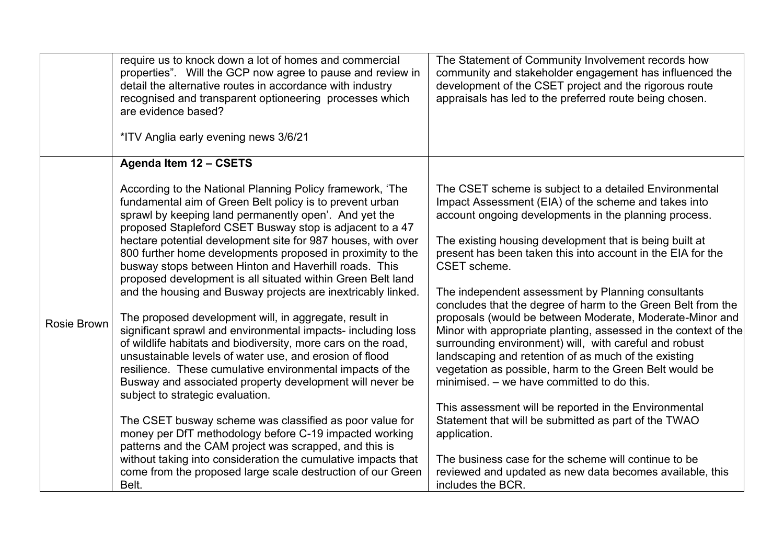|             | require us to knock down a lot of homes and commercial<br>properties". Will the GCP now agree to pause and review in<br>detail the alternative routes in accordance with industry<br>recognised and transparent optioneering processes which<br>are evidence based?<br>*ITV Anglia early evening news 3/6/21                                                                                                                                                                                                                                                                                                               | The Statement of Community Involvement records how<br>community and stakeholder engagement has influenced the<br>development of the CSET project and the rigorous route<br>appraisals has led to the preferred route being chosen.                                                                                                                                                                                                                                                                  |
|-------------|----------------------------------------------------------------------------------------------------------------------------------------------------------------------------------------------------------------------------------------------------------------------------------------------------------------------------------------------------------------------------------------------------------------------------------------------------------------------------------------------------------------------------------------------------------------------------------------------------------------------------|-----------------------------------------------------------------------------------------------------------------------------------------------------------------------------------------------------------------------------------------------------------------------------------------------------------------------------------------------------------------------------------------------------------------------------------------------------------------------------------------------------|
|             | Agenda Item 12 - CSETS                                                                                                                                                                                                                                                                                                                                                                                                                                                                                                                                                                                                     |                                                                                                                                                                                                                                                                                                                                                                                                                                                                                                     |
| Rosie Brown | According to the National Planning Policy framework, 'The<br>fundamental aim of Green Belt policy is to prevent urban<br>sprawl by keeping land permanently open'. And yet the<br>proposed Stapleford CSET Busway stop is adjacent to a 47<br>hectare potential development site for 987 houses, with over<br>800 further home developments proposed in proximity to the<br>busway stops between Hinton and Haverhill roads. This<br>proposed development is all situated within Green Belt land<br>and the housing and Busway projects are inextricably linked.<br>The proposed development will, in aggregate, result in | The CSET scheme is subject to a detailed Environmental<br>Impact Assessment (EIA) of the scheme and takes into<br>account ongoing developments in the planning process.<br>The existing housing development that is being built at<br>present has been taken this into account in the EIA for the<br>CSET scheme.<br>The independent assessment by Planning consultants<br>concludes that the degree of harm to the Green Belt from the<br>proposals (would be between Moderate, Moderate-Minor and |
|             | significant sprawl and environmental impacts- including loss<br>of wildlife habitats and biodiversity, more cars on the road,<br>unsustainable levels of water use, and erosion of flood<br>resilience. These cumulative environmental impacts of the<br>Busway and associated property development will never be<br>subject to strategic evaluation.<br>The CSET busway scheme was classified as poor value for                                                                                                                                                                                                           | Minor with appropriate planting, assessed in the context of the<br>surrounding environment) will, with careful and robust<br>landscaping and retention of as much of the existing<br>vegetation as possible, harm to the Green Belt would be<br>minimised. – we have committed to do this.<br>This assessment will be reported in the Environmental<br>Statement that will be submitted as part of the TWAO                                                                                         |
|             | money per DfT methodology before C-19 impacted working<br>patterns and the CAM project was scrapped, and this is<br>without taking into consideration the cumulative impacts that<br>come from the proposed large scale destruction of our Green<br>Belt.                                                                                                                                                                                                                                                                                                                                                                  | application.<br>The business case for the scheme will continue to be<br>reviewed and updated as new data becomes available, this<br>includes the BCR.                                                                                                                                                                                                                                                                                                                                               |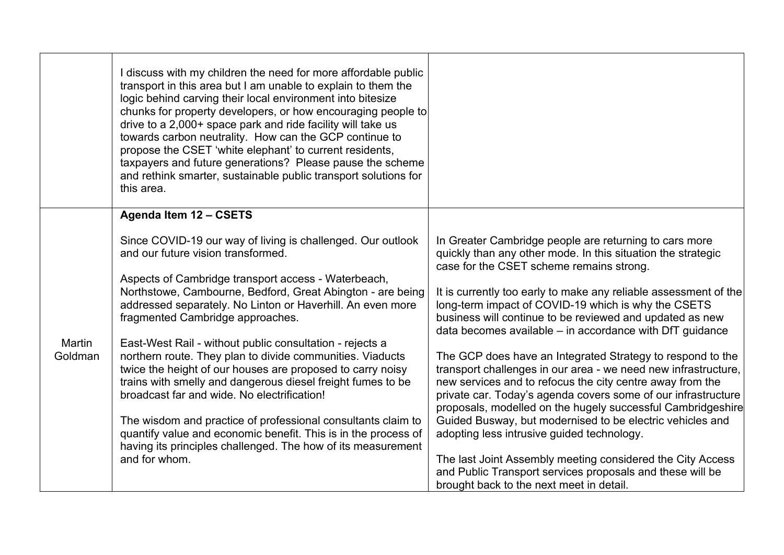|                   | discuss with my children the need for more affordable public<br>transport in this area but I am unable to explain to them the<br>logic behind carving their local environment into bitesize<br>chunks for property developers, or how encouraging people to<br>drive to a 2,000+ space park and ride facility will take us<br>towards carbon neutrality. How can the GCP continue to<br>propose the CSET 'white elephant' to current residents,<br>taxpayers and future generations? Please pause the scheme<br>and rethink smarter, sustainable public transport solutions for<br>this area. |                                                                                                                                                                                                                                                                                                                           |
|-------------------|-----------------------------------------------------------------------------------------------------------------------------------------------------------------------------------------------------------------------------------------------------------------------------------------------------------------------------------------------------------------------------------------------------------------------------------------------------------------------------------------------------------------------------------------------------------------------------------------------|---------------------------------------------------------------------------------------------------------------------------------------------------------------------------------------------------------------------------------------------------------------------------------------------------------------------------|
|                   | Agenda Item 12 - CSETS                                                                                                                                                                                                                                                                                                                                                                                                                                                                                                                                                                        |                                                                                                                                                                                                                                                                                                                           |
|                   | Since COVID-19 our way of living is challenged. Our outlook<br>and our future vision transformed.                                                                                                                                                                                                                                                                                                                                                                                                                                                                                             | In Greater Cambridge people are returning to cars more<br>quickly than any other mode. In this situation the strategic<br>case for the CSET scheme remains strong.                                                                                                                                                        |
|                   | Aspects of Cambridge transport access - Waterbeach,<br>Northstowe, Cambourne, Bedford, Great Abington - are being<br>addressed separately. No Linton or Haverhill. An even more<br>fragmented Cambridge approaches.                                                                                                                                                                                                                                                                                                                                                                           | It is currently too early to make any reliable assessment of the<br>long-term impact of COVID-19 which is why the CSETS<br>business will continue to be reviewed and updated as new<br>data becomes available - in accordance with DfT guidance                                                                           |
| Martin<br>Goldman | East-West Rail - without public consultation - rejects a<br>northern route. They plan to divide communities. Viaducts<br>twice the height of our houses are proposed to carry noisy<br>trains with smelly and dangerous diesel freight fumes to be<br>broadcast far and wide. No electrification!                                                                                                                                                                                                                                                                                             | The GCP does have an Integrated Strategy to respond to the<br>transport challenges in our area - we need new infrastructure,<br>new services and to refocus the city centre away from the<br>private car. Today's agenda covers some of our infrastructure<br>proposals, modelled on the hugely successful Cambridgeshire |
|                   | The wisdom and practice of professional consultants claim to<br>quantify value and economic benefit. This is in the process of<br>having its principles challenged. The how of its measurement                                                                                                                                                                                                                                                                                                                                                                                                | Guided Busway, but modernised to be electric vehicles and<br>adopting less intrusive guided technology.                                                                                                                                                                                                                   |
|                   | and for whom.                                                                                                                                                                                                                                                                                                                                                                                                                                                                                                                                                                                 | The last Joint Assembly meeting considered the City Access<br>and Public Transport services proposals and these will be<br>brought back to the next meet in detail.                                                                                                                                                       |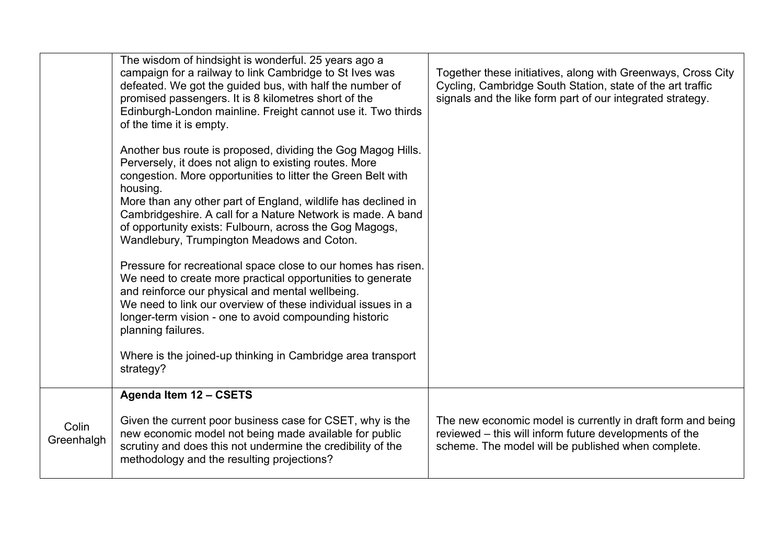|                     | The wisdom of hindsight is wonderful. 25 years ago a<br>campaign for a railway to link Cambridge to St Ives was<br>defeated. We got the guided bus, with half the number of<br>promised passengers. It is 8 kilometres short of the<br>Edinburgh-London mainline. Freight cannot use it. Two thirds<br>of the time it is empty.<br>Another bus route is proposed, dividing the Gog Magog Hills.<br>Perversely, it does not align to existing routes. More<br>congestion. More opportunities to litter the Green Belt with<br>housing.<br>More than any other part of England, wildlife has declined in<br>Cambridgeshire. A call for a Nature Network is made. A band<br>of opportunity exists: Fulbourn, across the Gog Magogs,<br>Wandlebury, Trumpington Meadows and Coton.<br>Pressure for recreational space close to our homes has risen.<br>We need to create more practical opportunities to generate<br>and reinforce our physical and mental wellbeing.<br>We need to link our overview of these individual issues in a<br>longer-term vision - one to avoid compounding historic<br>planning failures.<br>Where is the joined-up thinking in Cambridge area transport<br>strategy? | Together these initiatives, along with Greenways, Cross City<br>Cycling, Cambridge South Station, state of the art traffic<br>signals and the like form part of our integrated strategy. |
|---------------------|-----------------------------------------------------------------------------------------------------------------------------------------------------------------------------------------------------------------------------------------------------------------------------------------------------------------------------------------------------------------------------------------------------------------------------------------------------------------------------------------------------------------------------------------------------------------------------------------------------------------------------------------------------------------------------------------------------------------------------------------------------------------------------------------------------------------------------------------------------------------------------------------------------------------------------------------------------------------------------------------------------------------------------------------------------------------------------------------------------------------------------------------------------------------------------------------------|------------------------------------------------------------------------------------------------------------------------------------------------------------------------------------------|
|                     | Agenda Item 12 - CSETS                                                                                                                                                                                                                                                                                                                                                                                                                                                                                                                                                                                                                                                                                                                                                                                                                                                                                                                                                                                                                                                                                                                                                                        |                                                                                                                                                                                          |
| Colin<br>Greenhalgh | Given the current poor business case for CSET, why is the<br>new economic model not being made available for public<br>scrutiny and does this not undermine the credibility of the<br>methodology and the resulting projections?                                                                                                                                                                                                                                                                                                                                                                                                                                                                                                                                                                                                                                                                                                                                                                                                                                                                                                                                                              | The new economic model is currently in draft form and being<br>reviewed – this will inform future developments of the<br>scheme. The model will be published when complete.              |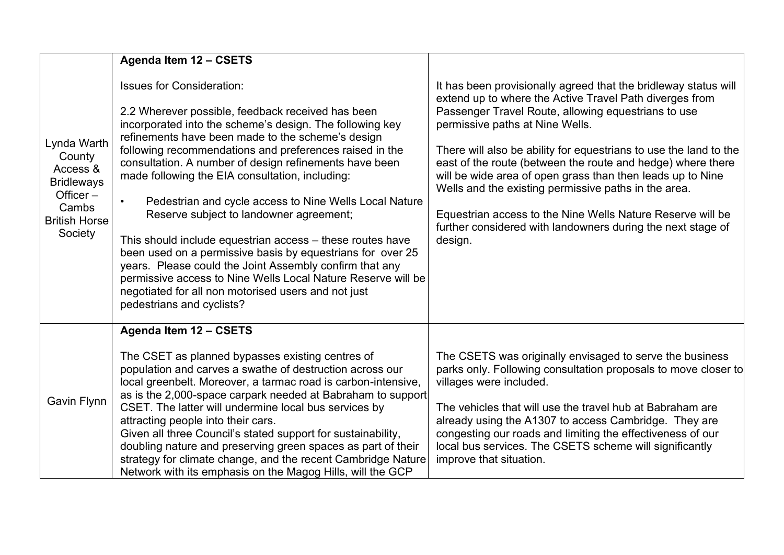|                                                                                                                   | Agenda Item 12 - CSETS                                                                                                                                                                                                                                                                                                                                                                                                                                                                                                                                                                                                                                                                                                                                                                                                                     |                                                                                                                                                                                                                                                                                                                                                                                                                                                                                                                                                                                                                        |
|-------------------------------------------------------------------------------------------------------------------|--------------------------------------------------------------------------------------------------------------------------------------------------------------------------------------------------------------------------------------------------------------------------------------------------------------------------------------------------------------------------------------------------------------------------------------------------------------------------------------------------------------------------------------------------------------------------------------------------------------------------------------------------------------------------------------------------------------------------------------------------------------------------------------------------------------------------------------------|------------------------------------------------------------------------------------------------------------------------------------------------------------------------------------------------------------------------------------------------------------------------------------------------------------------------------------------------------------------------------------------------------------------------------------------------------------------------------------------------------------------------------------------------------------------------------------------------------------------------|
| Lynda Warth<br>County<br>Access &<br><b>Bridleways</b><br>Officer $-$<br>Cambs<br><b>British Horse</b><br>Society | <b>Issues for Consideration:</b><br>2.2 Wherever possible, feedback received has been<br>incorporated into the scheme's design. The following key<br>refinements have been made to the scheme's design<br>following recommendations and preferences raised in the<br>consultation. A number of design refinements have been<br>made following the EIA consultation, including:<br>Pedestrian and cycle access to Nine Wells Local Nature<br>$\bullet$<br>Reserve subject to landowner agreement;<br>This should include equestrian access – these routes have<br>been used on a permissive basis by equestrians for over 25<br>years. Please could the Joint Assembly confirm that any<br>permissive access to Nine Wells Local Nature Reserve will be<br>negotiated for all non motorised users and not just<br>pedestrians and cyclists? | It has been provisionally agreed that the bridleway status will<br>extend up to where the Active Travel Path diverges from<br>Passenger Travel Route, allowing equestrians to use<br>permissive paths at Nine Wells.<br>There will also be ability for equestrians to use the land to the<br>east of the route (between the route and hedge) where there<br>will be wide area of open grass than then leads up to Nine<br>Wells and the existing permissive paths in the area.<br>Equestrian access to the Nine Wells Nature Reserve will be<br>further considered with landowners during the next stage of<br>design. |
| Gavin Flynn                                                                                                       | Agenda Item 12 - CSETS<br>The CSET as planned bypasses existing centres of<br>population and carves a swathe of destruction across our<br>local greenbelt. Moreover, a tarmac road is carbon-intensive,<br>as is the 2,000-space carpark needed at Babraham to support<br>CSET. The latter will undermine local bus services by<br>attracting people into their cars.<br>Given all three Council's stated support for sustainability,<br>doubling nature and preserving green spaces as part of their<br>strategy for climate change, and the recent Cambridge Nature<br>Network with its emphasis on the Magog Hills, will the GCP                                                                                                                                                                                                        | The CSETS was originally envisaged to serve the business<br>parks only. Following consultation proposals to move closer to<br>villages were included.<br>The vehicles that will use the travel hub at Babraham are<br>already using the A1307 to access Cambridge. They are<br>congesting our roads and limiting the effectiveness of our<br>local bus services. The CSETS scheme will significantly<br>improve that situation.                                                                                                                                                                                        |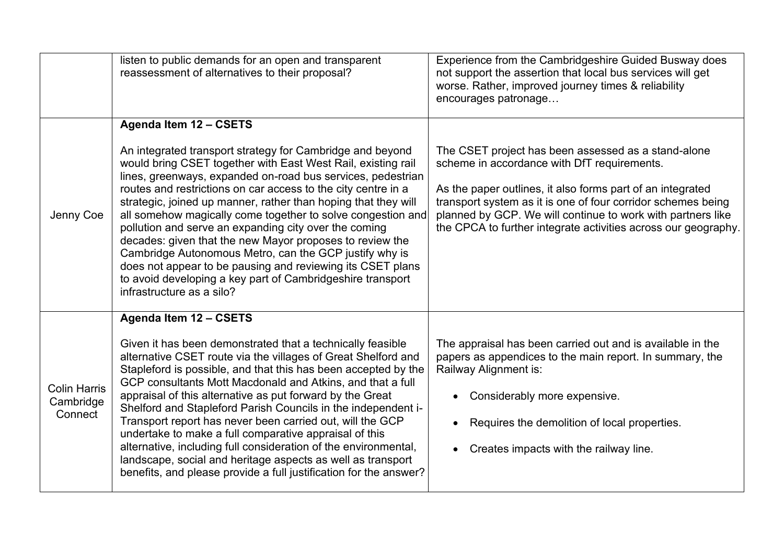|                                             | listen to public demands for an open and transparent<br>reassessment of alternatives to their proposal?                                                                                                                                                                                                                                                                                                                                                                                                                                                                                                                                                                                                                                           | Experience from the Cambridgeshire Guided Busway does<br>not support the assertion that local bus services will get<br>worse. Rather, improved journey times & reliability<br>encourages patronage                                                                                                                                                                |
|---------------------------------------------|---------------------------------------------------------------------------------------------------------------------------------------------------------------------------------------------------------------------------------------------------------------------------------------------------------------------------------------------------------------------------------------------------------------------------------------------------------------------------------------------------------------------------------------------------------------------------------------------------------------------------------------------------------------------------------------------------------------------------------------------------|-------------------------------------------------------------------------------------------------------------------------------------------------------------------------------------------------------------------------------------------------------------------------------------------------------------------------------------------------------------------|
|                                             | Agenda Item 12 - CSETS                                                                                                                                                                                                                                                                                                                                                                                                                                                                                                                                                                                                                                                                                                                            |                                                                                                                                                                                                                                                                                                                                                                   |
| Jenny Coe                                   | An integrated transport strategy for Cambridge and beyond<br>would bring CSET together with East West Rail, existing rail<br>lines, greenways, expanded on-road bus services, pedestrian<br>routes and restrictions on car access to the city centre in a<br>strategic, joined up manner, rather than hoping that they will<br>all somehow magically come together to solve congestion and<br>pollution and serve an expanding city over the coming<br>decades: given that the new Mayor proposes to review the<br>Cambridge Autonomous Metro, can the GCP justify why is<br>does not appear to be pausing and reviewing its CSET plans<br>to avoid developing a key part of Cambridgeshire transport<br>infrastructure as a silo?                | The CSET project has been assessed as a stand-alone<br>scheme in accordance with DfT requirements.<br>As the paper outlines, it also forms part of an integrated<br>transport system as it is one of four corridor schemes being<br>planned by GCP. We will continue to work with partners like<br>the CPCA to further integrate activities across our geography. |
| <b>Colin Harris</b><br>Cambridge<br>Connect | Agenda Item 12 - CSETS<br>Given it has been demonstrated that a technically feasible<br>alternative CSET route via the villages of Great Shelford and<br>Stapleford is possible, and that this has been accepted by the<br>GCP consultants Mott Macdonald and Atkins, and that a full<br>appraisal of this alternative as put forward by the Great<br>Shelford and Stapleford Parish Councils in the independent i-<br>Transport report has never been carried out, will the GCP<br>undertake to make a full comparative appraisal of this<br>alternative, including full consideration of the environmental,<br>landscape, social and heritage aspects as well as transport<br>benefits, and please provide a full justification for the answer? | The appraisal has been carried out and is available in the<br>papers as appendices to the main report. In summary, the<br>Railway Alignment is:<br>Considerably more expensive.<br>Requires the demolition of local properties.<br>Creates impacts with the railway line.                                                                                         |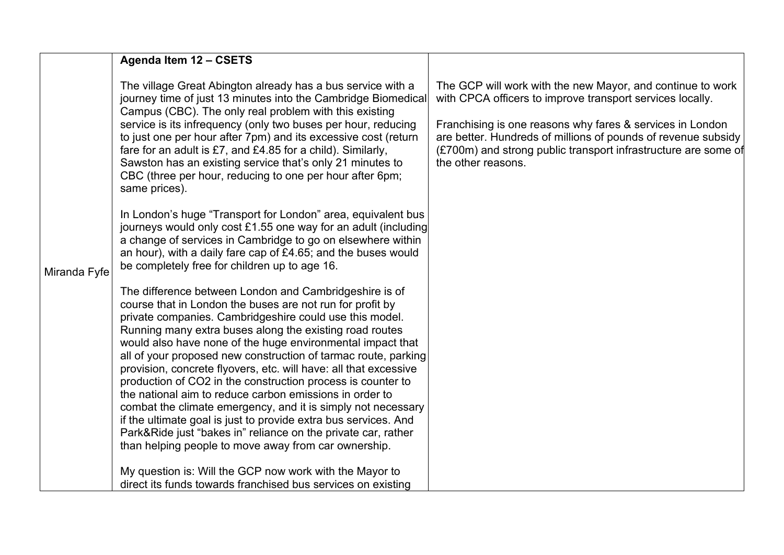|              | Agenda Item 12 - CSETS                                                                                                                                                                                                                                                                                                                                                                                                                                                                                                                                                                                                                                                                                                                                                                                                              |                                                                                                                                                                                                                                                                                                                                               |
|--------------|-------------------------------------------------------------------------------------------------------------------------------------------------------------------------------------------------------------------------------------------------------------------------------------------------------------------------------------------------------------------------------------------------------------------------------------------------------------------------------------------------------------------------------------------------------------------------------------------------------------------------------------------------------------------------------------------------------------------------------------------------------------------------------------------------------------------------------------|-----------------------------------------------------------------------------------------------------------------------------------------------------------------------------------------------------------------------------------------------------------------------------------------------------------------------------------------------|
|              | The village Great Abington already has a bus service with a<br>journey time of just 13 minutes into the Cambridge Biomedical<br>Campus (CBC). The only real problem with this existing<br>service is its infrequency (only two buses per hour, reducing<br>to just one per hour after 7pm) and its excessive cost (return<br>fare for an adult is £7, and £4.85 for a child). Similarly,<br>Sawston has an existing service that's only 21 minutes to<br>CBC (three per hour, reducing to one per hour after 6pm;<br>same prices).                                                                                                                                                                                                                                                                                                  | The GCP will work with the new Mayor, and continue to work<br>with CPCA officers to improve transport services locally.<br>Franchising is one reasons why fares & services in London<br>are better. Hundreds of millions of pounds of revenue subsidy<br>(£700m) and strong public transport infrastructure are some of<br>the other reasons. |
| Miranda Fyfe | In London's huge "Transport for London" area, equivalent bus<br>journeys would only cost £1.55 one way for an adult (including<br>a change of services in Cambridge to go on elsewhere within<br>an hour), with a daily fare cap of £4.65; and the buses would<br>be completely free for children up to age 16.                                                                                                                                                                                                                                                                                                                                                                                                                                                                                                                     |                                                                                                                                                                                                                                                                                                                                               |
|              | The difference between London and Cambridgeshire is of<br>course that in London the buses are not run for profit by<br>private companies. Cambridgeshire could use this model.<br>Running many extra buses along the existing road routes<br>would also have none of the huge environmental impact that<br>all of your proposed new construction of tarmac route, parking<br>provision, concrete flyovers, etc. will have: all that excessive<br>production of CO2 in the construction process is counter to<br>the national aim to reduce carbon emissions in order to<br>combat the climate emergency, and it is simply not necessary<br>if the ultimate goal is just to provide extra bus services. And<br>Park&Ride just "bakes in" reliance on the private car, rather<br>than helping people to move away from car ownership. |                                                                                                                                                                                                                                                                                                                                               |
|              | My question is: Will the GCP now work with the Mayor to<br>direct its funds towards franchised bus services on existing                                                                                                                                                                                                                                                                                                                                                                                                                                                                                                                                                                                                                                                                                                             |                                                                                                                                                                                                                                                                                                                                               |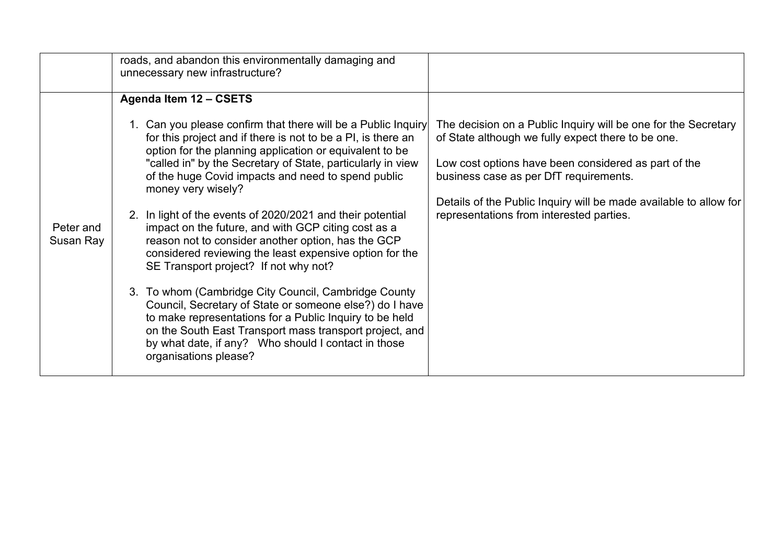|                        | roads, and abandon this environmentally damaging and<br>unnecessary new infrastructure?                                                                                                                                                                                                                                                                                                                                                                                                                                                |                                                                                                                                                                                                                                                                                                                                         |
|------------------------|----------------------------------------------------------------------------------------------------------------------------------------------------------------------------------------------------------------------------------------------------------------------------------------------------------------------------------------------------------------------------------------------------------------------------------------------------------------------------------------------------------------------------------------|-----------------------------------------------------------------------------------------------------------------------------------------------------------------------------------------------------------------------------------------------------------------------------------------------------------------------------------------|
|                        | Agenda Item 12 - CSETS<br>1. Can you please confirm that there will be a Public Inquiry<br>for this project and if there is not to be a PI, is there an<br>option for the planning application or equivalent to be<br>"called in" by the Secretary of State, particularly in view<br>of the huge Covid impacts and need to spend public<br>money very wisely?<br>2. In light of the events of 2020/2021 and their potential                                                                                                            | The decision on a Public Inquiry will be one for the Secretary<br>of State although we fully expect there to be one.<br>Low cost options have been considered as part of the<br>business case as per DfT requirements.<br>Details of the Public Inquiry will be made available to allow for<br>representations from interested parties. |
| Peter and<br>Susan Ray | impact on the future, and with GCP citing cost as a<br>reason not to consider another option, has the GCP<br>considered reviewing the least expensive option for the<br>SE Transport project? If not why not?<br>3. To whom (Cambridge City Council, Cambridge County<br>Council, Secretary of State or someone else?) do I have<br>to make representations for a Public Inquiry to be held<br>on the South East Transport mass transport project, and<br>by what date, if any? Who should I contact in those<br>organisations please? |                                                                                                                                                                                                                                                                                                                                         |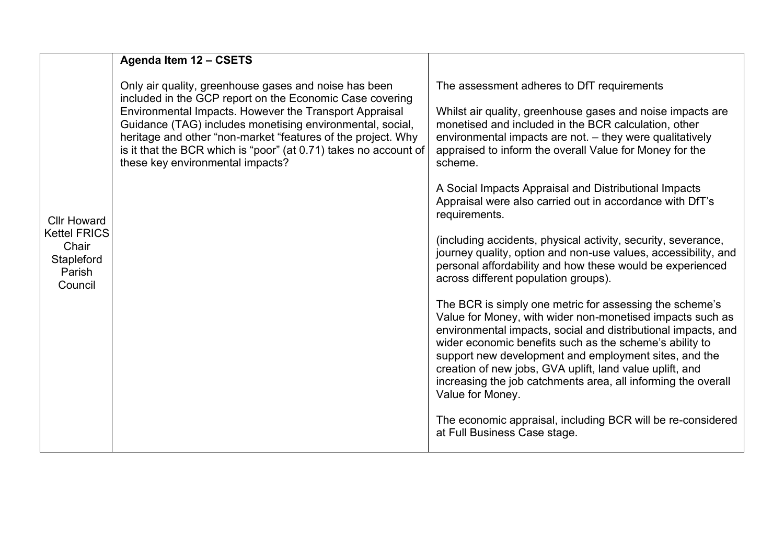|                                                                                       | Agenda Item 12 - CSETS                                                                                                                                                                                                                                                                                                                                                                                           |                                                                                                                                                                                                                                                                                                                                                                                                                                                            |
|---------------------------------------------------------------------------------------|------------------------------------------------------------------------------------------------------------------------------------------------------------------------------------------------------------------------------------------------------------------------------------------------------------------------------------------------------------------------------------------------------------------|------------------------------------------------------------------------------------------------------------------------------------------------------------------------------------------------------------------------------------------------------------------------------------------------------------------------------------------------------------------------------------------------------------------------------------------------------------|
| <b>Cllr Howard</b><br><b>Kettel FRICS</b><br>Chair<br>Stapleford<br>Parish<br>Council | Only air quality, greenhouse gases and noise has been<br>included in the GCP report on the Economic Case covering<br>Environmental Impacts. However the Transport Appraisal<br>Guidance (TAG) includes monetising environmental, social,<br>heritage and other "non-market "features of the project. Why<br>is it that the BCR which is "poor" (at 0.71) takes no account of<br>these key environmental impacts? | The assessment adheres to DfT requirements<br>Whilst air quality, greenhouse gases and noise impacts are<br>monetised and included in the BCR calculation, other<br>environmental impacts are not. - they were qualitatively<br>appraised to inform the overall Value for Money for the<br>scheme.                                                                                                                                                         |
|                                                                                       |                                                                                                                                                                                                                                                                                                                                                                                                                  | A Social Impacts Appraisal and Distributional Impacts<br>Appraisal were also carried out in accordance with DfT's<br>requirements.                                                                                                                                                                                                                                                                                                                         |
|                                                                                       |                                                                                                                                                                                                                                                                                                                                                                                                                  | (including accidents, physical activity, security, severance,<br>journey quality, option and non-use values, accessibility, and<br>personal affordability and how these would be experienced<br>across different population groups).                                                                                                                                                                                                                       |
|                                                                                       |                                                                                                                                                                                                                                                                                                                                                                                                                  | The BCR is simply one metric for assessing the scheme's<br>Value for Money, with wider non-monetised impacts such as<br>environmental impacts, social and distributional impacts, and<br>wider economic benefits such as the scheme's ability to<br>support new development and employment sites, and the<br>creation of new jobs, GVA uplift, land value uplift, and<br>increasing the job catchments area, all informing the overall<br>Value for Money. |
|                                                                                       |                                                                                                                                                                                                                                                                                                                                                                                                                  | The economic appraisal, including BCR will be re-considered<br>at Full Business Case stage.                                                                                                                                                                                                                                                                                                                                                                |